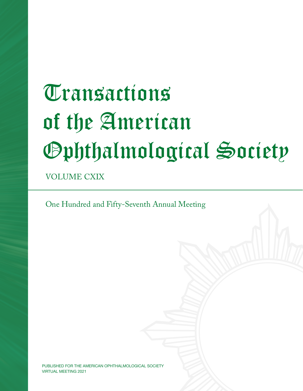# **Transactions** of the American Ophthalmological Society

VOLUME CXIX

One Hundred and Fifty-Seventh Annual Meeting

PUBLISHED FOR THE AMERICAN OPHTHALMOLOGICAL SOCIETY VIRTUAL MEETING 2021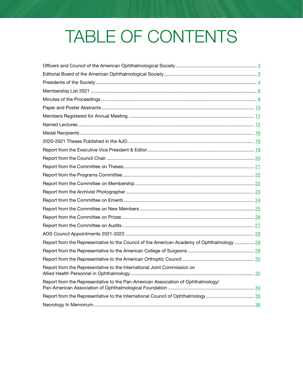## TABLE OF CONTENTS

| Report from the Representative to the Council of the American Academy of Ophthalmology  29 |  |
|--------------------------------------------------------------------------------------------|--|
|                                                                                            |  |
|                                                                                            |  |
| Report from the Representative to the International Joint Commission on                    |  |
| Report from the Representative to the Pan-American Association of Ophthalmology/           |  |
|                                                                                            |  |
|                                                                                            |  |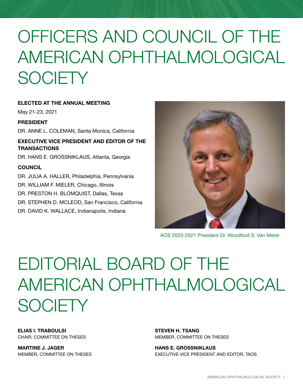## <span id="page-2-0"></span>OFFICERS AND COUNCIL OF THE AMERICAN OPHTHALMOLOGICAL **SOCIETY**

ELECTED AT THE ANNUAL MEETING

May 21-23, 2021

### PRESIDENT

DR. ANNE L. COLEMAN, Santa Monica, California

EXECUTIVE VICE PRESIDENT AND EDITOR OF THE **TRANSACTIONS** 

DR. HANS E. GROSSNIKLAUS, Atlanta, Georgia

### **COUNCIL**

- DR. JULIA A. HALLER, Philadelphia, Pennsylvania
- DR. WILLIAM F. MIELER, Chicago, Illinois
- DR. PRESTON H. BLOMQUIST, Dallas, Texas
- DR. STEPHEN D. MCLEOD, San Francisco, California
- DR. DAVID K. WALLACE, Indianapolis, Indiana



AOS 2020-2021 President Dr. Woodford S. Van Meter

## EDITORIAL BOARD OF THE AMERICAN OPHTHALMOLOGICAL **SOCIFTY**

ELIAS I. TRABOULSI CHAIR, COMMITTEE ON THESES

MARTINE J. JAGER MEMBER, COMMITTEE ON THESES STEVEN H. TSANG MEMBER, COMMITTEE ON THESES

HANS E. GROSSNIKLAUS EXECUTIVE VICE PRESIDENT AND EDITOR, TAOS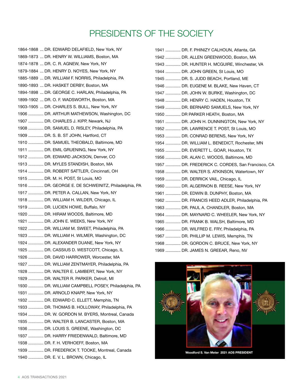### PRESIDENTS OF THE SOCIETY

<span id="page-3-0"></span>1864-1868 ... DR. EDWARD DELAFIELD, New York, NY 1869-1873 ... DR. HENRY W. WILLIAMS, Boston, MA 1874-1878 ... DR. C. R. AGNEW, New York, NY 1879-1884 ... DR. HENRY D. NOYES, New York, NY 1885-1889 ... DR. WILLIAM F. NORRIS, Philadelphia, PA 1890-1893 ... DR. HASKET DERBY, Boston, MA 1894-1898 ... DR. GEORGE C. HARLAN, Philadelphia, PA 1899-1902 ... DR. O. F. WADSWORTH, Boston, MA 1903-1905 ... DR. CHARLES S. BULL, New York, NY 1906 ............. DR. ARTHUR MATHEWSON, Washington, DC 1907 ............. DR. CHARLES J. KIPP, Newark, NJ 1908 ............. DR. SAMUEL D. RISLEY, Philadelphia, PA 1909 ............. DR. S. B. ST JOHN, Hartford, CT 1910 ............. DR. SAMUEL THEOBALD, Baltimore, MD 1911 ............. DR. EMIL GRUENING, New York, NY 1912 ............. DR. EDWARD JACKSON, Denver, CO 1913 ............. DR. MYLES STANDISH, Boston, MA 1914 ............. DR. ROBERT SATTLER, Cincinnati, OH 1915 ............. DR. M. H. POST, St Louis, MO 1916 ............. DR. GEORGE E. DE SCHWEINITZ, Philadelphia, PA 1917 ............. DR. PETER A. CALLAN, New York, NY 1918 ............. DR. WILLIAM H. WILDER, Chicago, IL 1919 ............. DR. LUCIEN HOWE, Buffalo, NY 1920 ............. DR. HIRAM WOODS, Baltimore, MD 1921 ............. DR. JOHN E. WEEKS, New York, NY 1922 ............. DR. WILLIAM M. SWEET, Philadelphia, PA 1923 ............. DR. WILLIAM H. WILMER, Washington, DC 1924 ............. DR. ALEXANDER DUANE, New York, NY 1925 ............. DR. CASSIUS D. WESTCOTT, Chicago, IL 1926 ............. DR. DAVID HARROWER, Worcester, MA 1927 ............. DR. WILLIAM ZENTMAYER, Philadelphia, PA 1928 ............. DR. WALTER E. LAMBERT, New York, NY 1929 ............. DR. WALTER R. PARKER, Detroit, MI 1930 ............. DR. WILLIAM CAMPBELL POSEY, Philadelphia, PA 1931 ............. DR. ARNOLD KNAPP, New York, NY 1932 ............. DR. EDWARD C. ELLETT, Memphis, TN 1933 ............. DR. THOMAS B. HOLLOWAY, Philadelphia, PA 1934 ............. DR. W. GORDON M. BYERS, Montreal, Canada 1935 ............. DR. WALTER B. LANCASTER, Boston, MA 1936 ............. DR. LOUIS S. GREENE, Washington, DC 1937 ............. DR. HARRY FRIEDENWALD, Baltimore, MD 1938 ............. DR. F. H. VERHOEFF, Boston, MA 1939 ............. DR. FREDERICK T. TOOKE, Montreal, Canada 1940 ............. DR. E. V. L. BROWN, Chicago, IL

| 1941  DR. F. PHINIZY CALHOUN, Atlanta, GA        |
|--------------------------------------------------|
| 1942  DR. ALLEN GREENWOOD, Boston, MA            |
| 1943  DR. HUNTER H. MCGUIRE, Winchester, VA      |
| 1944  DR. JOHN GREEN, St Louis, MO               |
| 1945  DR. S. JUDD BEACH, Portland, ME            |
| 1946  DR. EUGENE M. BLAKE, New Haven, CT         |
| 1947  DR. JOHN W. BURKE, Washington, DC          |
| 1948  DR. HENRY C. HADEN, Houston, TX            |
| 1949  DR. BERNARD SAMUELS, New York, NY          |
| 1950  DR PARKER HEATH, Boston, MA                |
| 1951  DR. JOHN H. DUNNINGTON, New York, NY       |
| 1952  DR. LAWRENCE T. POST, St Louis, MO         |
| 1953  DR. CONRAD BERENS, New York, NY            |
| 1954  DR. WILLIAM L. BENEDICT, Rochester, MN     |
| 1955  DR. EVERETT L. GOAR, Houston, TX           |
| 1956  DR. ALAN C. WOODS, Baltimore, MD           |
| 1957  DR. FREDERICK C. CORDES, San Francisco, CA |
| 1958  DR. WALTER S. ATKINSON, Watertown, NY      |
| 1959  DR. DERRICK VAIL, Chicago, IL              |
| 1960  DR. ALGERNON B. REESE, New York, NY        |
| 1961  DR. EDWIN B. DUNPHY, Boston, MA            |
| 1962  DR. FRANCIS HEED ADLER, Philadelphia, PA   |
| 1963  DR. PAUL A. CHANDLER, Boston, MA           |
| 1964  DR. MAYNARD C. WHEELER, New York, NY       |
| 1965  DR. FRANK B. WALSH, Baltimore, MD          |
| 1966  DR. WILFRED E. FRY, Philadelphia, PA       |
| 1967  DR. PHILLIP M. LEWIS, Memphis, TN          |
| 1968  DR. GORDON C. BRUCE, New York, NY          |
| 1969  DR. JAMES N. GREEAR, Reno, NV              |

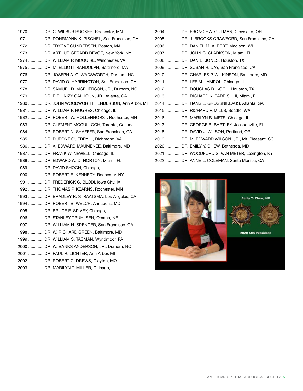| 1970  DR. C. WILBUR RUCKER, Rochester, MN         |
|---------------------------------------------------|
| 1971  DR. DOHRMANN K. PISCHEL, San Francisco, CA  |
| 1972  DR. TRYGVE GUNDERSEN, Boston, MA            |
| 1973  DR. ARTHUR GERARD DEVOE, New York, NY       |
| 1974  DR. WILLIAM P. MCGUIRE, Winchester, VA      |
| 1975  DR. M. ELLIOTT RANDOLPH, Baltimore, MA      |
| 1976  DR. JOSEPH A. C. WADSWORTH, Durham, NC      |
| 1977  DR. DAVID O. HARRINGTON, San Francisco, CA  |
| 1978  DR. SAMUEL D. MCPHERSON, JR., Durham, NC    |
| 1979  DR. F. PHINIZY CALHOUN, JR., Atlanta, GA    |
| 1980  DR. JOHN WOODWORTH HENDERSON, Ann Arbor, MI |
| 1981  DR. WILLIAM F. HUGHES, Chicago, IL          |
| 1982  DR. ROBERT W. HOLLENHORST, Rochester, MN    |
| 1983  DR. CLEMENT MCCULLOCH, Toronto, Canada      |
| 1984  DR. ROBERT N. SHAFFER, San Francisco, CA    |
| 1985  DR. DUPONT GUERRY III, Richmond, VA         |
| 1986  DR. A. EDWARD MAUMENEE, Baltimore, MD       |
| 1987  DR. FRANK W. NEWELL, Chicago, IL            |
| 1988  DR. EDWARD W. D. NORTON, Miami, FL          |
| 1989  DR. DAVID SHOCH, Chicago, IL                |
| 1990  DR. ROBERT E. KENNEDY, Rochester, NY        |
| 1991  DR. FREDERICK C. BLODI, lowa City, IA       |
| 1992  DR. THOMAS P. KEARNS, Rochester, MN         |
| 1993  DR. BRADLEY R. STRAATSMA, Los Angeles, CA   |
| 1994  DR. ROBERT B. WELCH, Annapolis, MD          |
| 1995  DR. BRUCE E. SPIVEY, Chicago, IL            |
| 1996  DR. STANLEY TRUHLSEN, Omaha, NE             |
| 1997  DR. WILLIAM H. SPENCER, San Francisco, CA   |
| 1998  DR. W. RICHARD GREEN, Baltimore, MD         |
| 1999  DR. WILLIAM S. TASMAN, Wyndmoor, PA         |
| 2000  DR. W. BANKS ANDERSON, JR., Durham, NC      |
| 2001  DR. PAUL R. LICHTER, Ann Arbor, MI          |
| 2002  DR. ROBERT C. DREWS, Clayton, MO            |
| 2003  DR. MARILYN T. MILLER, Chicago, IL          |

| 2004  DR. FRONCIE A. GUTMAN, Cleveland, OH        |
|---------------------------------------------------|
| 2005  DR. J. BROOKS CRAWFORD, San Francisco, CA   |
| 2006  DR. DANIEL M. ALBERT, Madison, WI           |
| 2007  DR. JOHN G. CLARKSON, Miami, FL             |
| 2008  DR. DAN B. JONES, Houston, TX               |
| 2009  DR. SUSAN H. DAY, San Francisco, CA         |
| 2010  DR. CHARLES P. WILKINSON, Baltimore, MD     |
| 2011  DR. LEE M. JAMPOL, Chicago, IL              |
| 2012  DR. DOUGLAS D. KOCH, Houston, TX            |
| 2013  DR. RICHARD K. PARRISH, II, Miami, FL       |
| 2014  DR. HANS E. GROSSNIKLAUS, Atlanta, GA       |
| 2015  DR. RICHARD P. MILLS, Seattle, WA           |
| 2016  DR. MARILYN B. METS, Chicago, IL            |
| 2017  DR. GEORGE B. BARTLEY, Jacksonville, FL     |
| 2018  DR. DAVID J. WILSON, Portland, OR           |
| 2019  DR. M. EDWARD WILSON, JR., Mt. Pleasant, SC |
| 2020  DR. EMILY Y. CHEW, Bethesda, MD             |
| 2021 DR. WOODFORD S. VAN METER, Lexington, KY     |
| 2022 DR. ANNE L. COLEMAN, Santa Monica, CA        |

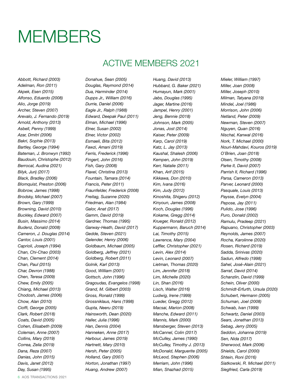## <span id="page-5-0"></span>**MEMBERS**

### ACTIVE MEMBERS 2021

*Abbott, Richard (2003) Adelman, Ron (2011) Akpek, Esen (2015) Alfonso, Eduardo (2008) Alio, Jorge (2019) Archer, Steven (2007) Arevalo, J. Fernando (2019) Arnold, Anthony (2013) Asbell, Penny (1999) Azar, Dmitri (2006) Bakri, Sophie (2013) Bartley, George (1994) Bateman, J. Bronwyn (1992) Baudouin, Christophe (2012) Berrocal, Audina (2021) Bilyk, Jurij (2017) Black, Bradley (2006) Blomquist, Preston (2006) Bobrow, James (1998) Brodsky, Michael (2007) Brown, Gary (1999) Browning, David (2010) Buckley, Edward (2007) Busin, Massimo (2014) Budenz, Donald (2008) Cameron, J. Douglas (2014) Cantor, Louis (2001) Caprioli, Joseph (1994) Chan, Chi-Chao (2003) Chan, Clement (2014) Chan, Paul (2015) Char, Devron (1988) Chen, Teresa (2009) Chew, Emily (2005) Chiang, Michael (2013) Chodosh, James (2006) Chow, Alan (2010) Cioffi, George (2005) Clark, Robert (2018) Coats, David (2005) Cohen, Elisabeth (2009) Coleman, Anne (2007) Collins, Mary (2019) Correa, Zelia (2019) Dana, Reza (2007) Danias, John (2015) Davis, Janet (2012) Day, Susan (1995)*

*Donahue, Sean (2005) Douglas, Raymond (2014) Dua, Harminder (2014) Dupps Jr., William (2016) Durrie, Daniel (2006) Eagle Jr., Ralph (1988) Edward, Deepak Paul (2011) Elman, Michael (1996) Elner, Susan (2002) Elner, Victor (2002) Esmaeli, Bita (2012) Fawzi, Amani (2019) Ferris, Frederick (1996) Fingert, John (2016) Fish, Gary (2008) Flaxel, Christina (2013) Fountain, Tamara (2014) Francis, Peter (2011) Fraunfelder, Frederick (2008) Freitag, Suzanne (2020) Friedman, Alan (1984) Galor, Anat (2017) Gamm, David (2019) Gardner, Thomas (1995) Garway-Heath, David (2017) Gedde, Steven (2021) Gelender, Henry (2006) Goldbaum, Michael (2005) Goldberg, Jeffrey (2021) Goldberg, Robert (2011) Golnik, Karl (2013) Good, William (2001) Gottsch, John (1996) Gragoudas, Evangelos (1998) Grand, M. Gilbert (2003) Gross, Ronald (1999) Grossniklaus, Hans (1998) Gupta, Neeru (2019) Hainsworth, Dean (2020) Haller, Julia (1996) Han, Dennis (2004) Hanneken, Anne (2017) Harbour, James (2019) Hartnett, Mary (2010) Hersh, Peter (2005) Holland, Gary (2007) Horton, Jonathan (1997) Huang, Andrew (2007)*

*Huang, David (2013) Hubbard, G. Baker (2021) Humayun, Mark (2001) Jabs, Douglas (1995) Jager, Martine (2016) Jampel, Henry (2001) Jeng, Bennie (2018) Johnson, Mark (2005) Jonas, Jost (2014) Kaiser, Peter (2009) Karp, Carol (2019) Katz, L. Jay (2013) Kaushal, Shalesh (2006) Kempen, John (2019) Kerr, Natalie (2011) Khan, Arif (2015) Kikkawa, Don (2010) Kim, Ivana (2016) Kim, Judy (2012) Kinoshita, Shigeru (2012) Kinyoun, James (2008) Koch, Douglas (1996) Kokame, Gregg (2014) Krueger, Ronald (2012) Kuppermann, Baruch (2014) Lai, Timothy (2015) Lawrence, Mary (2004) Leffler, Christopher (2021) Levin, Alex (2014) Levin, Leonard (2007) Lietman, Thomas (2020) Lim, Jennifer (2018) Lim, Michelle (2020) Lin, Shan (2016) Lisch, Walter (2016) Ludwig, Irene (1999) Lueder, Gregg (2012) Macsai, Marion (2008) Manche, Edward (2011) Mannis, Mark (2000) Mansberger, Steven (2013) McCannel, Colin (2017) McCulley, James (1990) McCulley, Timothy J. (2013) McDonald, Marguerite (2005) McLeod, Stephen (2006) Merriam, John (1996) Mian, Shazhad (2015)*

*Mieler, William (1997) Miller, Joan (2008) Miller, Joseph (2010) Milman, Tatyana (2019) Mindel, Joel (1986) Morrison, John (2006) Netland, Peter (2009) Newman, Steven (2007) Nguyen, Quan (2016) Nischal, Kanwal (2016) Nork, T. Michael (2000) Nouri-Mahdavi, Kouros (2019) O'Brien, Joan (2018) Olsen, Timothy (2008) Parke II, David (2007) Parrish II, Richard (1996) Parsa, Cameron (2013) Parver, Leonard (2000) Pasquale, Louis (2013) Paysse, Evelyn (2004) Pepose, Jay (2011) Pulido, Jose (1996) Puro, Donald (2002) Ramulu, Pradeep (2021) Rapuano, Christopher (2003) Reynolds, James (2007) Rocha, Karolinne (2020) Rosen, Richard (2019) Sadda, Srinivas (2020) Sadun, Alfredo (1998) Sahel, José-Alain (2021) Sarraf, David (2014) Schanzlin, David (1999) Schein, Oliver (2000) Schmidt-Erfurth, Ursula (2020) Schubert, Hermann (2005) Schuman, Joel (2008) Schwab, Ivan (1999) Schwartz, Daniel (2003) Sears, Jonathan (2013) Sebag, Jerry (2005) Seddon, Johanna (2019) Sen, Nida (2017) Sherwood, Mark (2006) Shields, Carol (2000) Shtein, Roni (2016) Siatkowski, R. Michael (2011) Siegfried, Carla (2019)*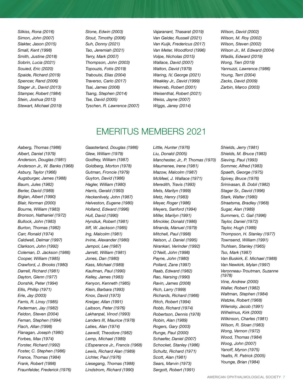*Silkiss, Rona (2016) Simon, John (2007) Slakter, Jason (2015) Small, Kent (1998) Smith, Justine (2018) Sobrin, Lucia (2021) Souied, Eric (2020) Spaide, Richard (2019) Spencer, Rand (2006) Stager Jr., David (2013) Stamper, Robert (1984) Stein, Joshua (2013) Stewart, Michael (2019)* *Stone, Edwin (2003) Stout, Timothy (2006) Suh, Donny (2021) Tao, Jeremiah (2021) Terry, Mark (2007) Thompson, John (2003) Topouzis, Fotis (2019) Traboulsi, Elias (2004) Traverso, Carlo (2017) Tsai, James (2008) Tsang, Stephen (2014) Tse, David (2005) Tyschen, R. Lawrence (2007)* *Vajaranant, Thasarat (2019) Van Gelder, Russell (2021) Van Kuijk, Fredericus (2017) Van Meter, Woodford (1996) Volpe, Nicholas (2015) Wallace, David (2007) Walton, David (1979) Waring, IV, George (2021) Weakley Jr., David (1999) Weinreb, Robert (2001) Weisenthal, Robert (2021) Weiss, Jayne (2007) Wiggs, Janey (2014)* 

*Wilson, David (2002) Wilson, M. Roy (2002) Wilson, Steven (2002) Wilson Jr., M. Edward (2004) Wladis, Edward (2019) Wong, Tien (2019) Yannuzzi, Lawrence (1986) Young, Terri (2004) Zacks, David (2009) Zarbin, Marco (2003)*

### EMERITUS MEMBERS 2021

*Aaberg, Thomas (1986) Albert, Daniel (1979) Anderson, Douglas (1981) Anderson Jr., W. Banks (1968) Asbury, Taylor (1966) Augsburger, James (1988) Baum, Jules (1982) Berler, David (1989) Biglan, Albert (1990) Blair, Norman (2000) Bourne, William (1983) Bronson, Nathaniel (1972) Bullock, John (1983) Burton, Thomas (1982) Carr, Ronald (1974) Caldwell, Delmar (1997) Clarkson, John (1992) Coleman, D. Jackson (1986) Cooper, William (1985) Crawford, J. Brooks (1980) Darrell, Richard (1981) Dayton, Glenn (1977) Donshik, Peter (1994) Ellis, Phillip (1971) Erie, Jay (2003) Farris, R. Linsy (1985) Federman, Jay (1982) Feldon, Steven (2004) Feman, Stephen (1994) Flach, Allan (1998) Flanagan, Joseph (1980) Forbes, Max (1974) Forster, Richard (1992) Foster, C. Stephen (1986) France, Thomas (1984) Frank, Robert (1998) Fraunfelder, Frederick (1976)*

*Gaasterland, Douglas (1986) Glew, William (1979) Godfrey, William (1987) Goldberg, Morton (1978) Gutman, Froncie (1979) Guyton, David (1986) Hagler, William (1980) Harris, Gerald (1993) Heckenlively, John (1987) Helveston, Eugene (1980) Holland, Edward (1996) Hull, David (1990) Hyndiuk, Robert (1981) Iliff, W. Jackson (1985) Ing, Malcolm (1981) Irvine, Alexander (1980) Jampol, Lee (1987) Jarrett, William (1981) Jones, Dan (1980) Kass, Michael (1989) Kaufman, Paul (1990) Kelley, James (1983) Kenyon, Kenneth (1985) Klein, Barbara (1993) Knox, David (1973) Kreiger, Allan (1991) Laibson, Peter (1976) Lakhanpal, Vinod (1993) Landers III, Maurice (1978) Laties, Alan (1974) Lawwill, Theodore (1982) Lemp, Michael (1989) L'Esperance Jr., Francis (1968) Lewis, Richard Alan (1989) Lichter, Paul (1976) Liesegang, Thomas (1988) Lindstrom, Richard (1990)*

*Little, Hunter (1976) Liu, Donald (2005) Manchester, Jr., P. Thomas (1970) Maumenee, Irene (1981) Mazow, Malcolm (1987) McMeel, J. Wallace (1971) Meredith, Travis (1993) Mets, Marilyn (1999) Metz, Henry (1983) Meyer, Roger (1986) Meyers, Sanford (1994) Miller, Marilyn (1991) Minckler, Donald (1986) Miranda, Manuel (1979) Mitchell, Paul (1998) Nelson, J. Daniel (1995) Nirankari, Verinder (1992) O'Neill, John (1998) Payne, John (1980) Pollard, Zane (1997) Raab, Edward (1982) Rao, Narsing (1990) Ravin, James (2008) Rich, Larry (1999) Richards, Richard (1966) Ritch, Robert (1994) Robb, Richard (1974) Robertson, Dennis (1978) Robin, Alan (1989) Rogers, Gary (2003) Runge, Paul (2000) Schaefer, Daniel (2007) Schocket, Stanley (1986) Schultz, Richard (1971) Scott, Alan (1981) Sears, Marvin (1973) Sergott, Robert (1991)*

*Shields, Jerry (1981) Shields, M. Bruce (1983) Sieving, Paul (1993) Sommer, Alfred (1983) Spaeth, George (1975) Spivey, Bruce (1976) Srinivasan, B. Dobli (1982) Stager Sr., David (1996) Stark, Walter (1980) Straatsma, Bradley (1968) Sugar, Alan (1989) Summers, C. Gail (1996) Taylor, Daniel (1972) Taylor, Hugh (1989) Thompson, H. Stanley (1977) Townsend, William (1991) Truhlsen, Stanley (1965) Tso, Mark (1987) Van Buskirk, E. Michael (1988) Van Newkirk, Mylan (1997) Veronneau-Troutman, Suzanne (1978) Vine, Andrew (2000) Waller, Robert (1982) Waltman, Stephen (1984) Watzke, Robert (1968) Wilensky, Jacob (1991) Wilhelmus, Kirk (2000) Wilkinson, Charles (1981) Wilson, R. Sloan (1983) Wong, Vernon (1972) Wood, Thomas (1984) Woog, John (2007) Yanoff, Myron (1975) Yeatts, R. Patrick (2005) Younge, Brian (1984)*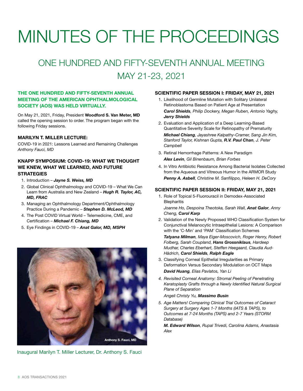## <span id="page-7-0"></span>MINUTES OF THE PROCEEDINGS

### ONE HUNDRED AND FIFTY-SEVENTH ANNUAL MEETING MAY 21-23, 2021

### THE ONE HUNDRED AND FIFTY-SEVENTH ANNUAL MEETING OF THE AMERICAN OPHTHALMOLOGICAL SOCIETY (AOS) WAS HELD VIRTUALLY.

On May 21, 2021, Friday, President Woodford S. Van Meter, MD called the opening session to order. The program began with the following Friday sessions.

### MARILYN T. MILLER LECTURE:

COVID-19 in 2021: Lessons Learned and Remaining Challenges *Anthony Fauci, MD*

### KNAPP SYMPOSIUM: COVID-19: WHAT WE THOUGHT WE KNEW, WHAT WE LEARNED, AND FUTURE **STRATEGIES**

- 1. Introduction *Jayne S. Weiss, MD*
- 2. Global Clinical Ophthalmology and COVID-19 What We Can Learn from Australia and New Zealand – *Hugh R. Taylor, AC, MD, FRAC*
- 3. Managing an Ophthalmology Department/Ophthalmology Practice During a Pandemic – *Stephen D. McLeod, MD*
- 4. The Post COVID Virtual World Telemedicine, CME, and Certification – *Michael F. Chiang, MD*
- 5. Eye Findings in COVID-19 *Anat Galor, MD, MSPH*



Inaugural Marilyn T. Miller Lecturer, Dr. Anthony S. Fauci

### SCIENTIFIC PAPER SESSION I: FRIDAY, MAY 21, 2021

- 1. Likelihood of Germline Mutation with Solitary Unilateral Retinoblastoma Based on Patient Age at Presentation  *Carol Shields, Philip Dockery, Megan Ruben, Antonio Yaghy, Jerry Shields*
- 2. Evaluation and Application of a Deep Learning-Based Quantitative Severity Scale for Retinopathy of Prematurity  *Michael Chiang, Jayashree Kalpathy-Cramer, Sang Jin Kim, Stanford Taylor, Kishnan Gupta, R.V. Paul Chan, J. Peter Campbell*
- 3. Retinal Hemorrhage Patterns: A New Paradigm  *Alex Levin, Gil Binenbaum, Brian Forbes*
- 4. In Vitro Antibiotic Resistance Among Bacterial Isolates Collected from the Aqueous and Vitreous Humor in the ARMOR Study  *Penny A. Asbell, Christine M. Sanfilippo, Heleen H. DeCory*

### SCIENTIFIC PAPER SESSION II: FRIDAY, MAY 21, 2021

1. Role of Topical 5-Fluorouracil in Demodex-Associated **Blepharitis** 

 *Joanne Ho, Despoina Theotoka, Sarah Wall, Anat Galor, Anny Cheng, Carol Karp*

2. Validation of the Newly Proposed WHO Classification System for Conjunctival Melanocytic Intraepithelial Lesions: A Comparison with the 'C-Min' and 'PAM' Classification Schemes

 *Tatyana Milman, Maya Eiger-Moscovich, Roger Henry, Robert Folberg, Sarah Coupland, Hans Grossniklaus, Hardeep Mudhar, Charles Eberhart, Steffen Heegaard, Claudia Aud-Hädrich, Carol Shields, Ralph Eagle*

- 3. Classifying Corneal Epithelial Irregularities as Primary Deformation Versus Secondary Modulation on OCT Maps  *David Huang, Elias Pavlatos, Yan Li*
- *4. Revisited Corneal Anatomy: Stromal Peeling of Penetrating Keratoplasty Grafts through a Newly Identified Natural Surgical Plane of Separation*

#### *Angeli Christy Yu, Massimo Busin*

*5. Age Matters! Comparing Clinical Trial Outcomes of Cataract Surgery at Surgery Ages 1-7 Months (IATS & TAPS), to Outcomes at 7-24 Months (TAPS) and 2-7 Years (STORM Database)*

 *M. Edward Wilson, Rupal Trivedi, Carolina Adams, Anastasia Alex*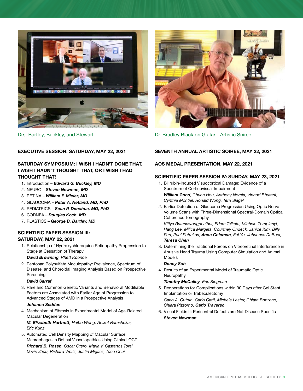

EXECUTIVE SESSION: SATURDAY, MAY 22, 2021

### SATURDAY SYMPOSIUM: I WISH I HADN'T DONE THAT, I WISH I HADN'T THOUGHT THAT, OR I WISH I HAD THOUGHT THAT!

- 1. Introduction *Edward G. Buckley, MD*
- 2. NEURO *Steven Newman, MD*
- 3. RETINA *William F. Mieler, MD*
- 4. GLAUCOMA *Peter A. Netland, MD, PhD*
- 5. PEDIATRICS *Sean P. Donahue, MD, PhD*
- 6. CORNEA *Douglas Koch, MD*
- 7. PLASTICS *George B. Bartley, MD*

### SCIENTIFIC PAPER SESSION III: SATURDAY, MAY 22, 2021

1. Relationship of Hydroxychloroquine Retinopathy Progression to Stage at Cessation of Therapy

#### *David Browning, Rhett Koonce*

2. Pentosan Polysulfate Maculopathy: Prevalence, Spectrum of Disease, and Choroidal Imaging Analysis Based on Prospective **Screening** 

#### *David Sarraf*

3. Rare and Common Genetic Variants and Behavioral Modifiable Factors are Associated with Earlier Age of Progression to Advanced Stages of AMD in a Prospective Analysis

#### *Johanna Seddon*

4. Mechanism of Fibrosis in Experimental Model of Age-Related Macular Degeneration

 *M. Elizabeth Hartnett, Haibo Wong, Aniket Ramshekar, Eric Kunz* 

5. Automated Cell Density Mapping of Macular Surface Macrophages in Retinal Vasculopathies Using Clinical OCT  *Richard B. Rosen, Oscar Otero, Maria V. Castanos Toral, Davis Zhou, Rishard Weitz, Justin Migacz, Toco Chui*



Drs. Bartley, Buckley, and Stewart **Dr. Bradley Black on Guitar - Artistic Soiree** 

### SEVENTH ANNUAL ARTISTIC SOIREE, MAY 22, 2021

### AOS MEDAL PRESENTATION, MAY 22, 2021

### SCIENTIFIC PAPER SESSION IV: SUNDAY, MAY 23, 2021

- 1. Bilirubin-Induced Visuocortical Damage: Evidence of a Spectrum of Corticovisual Impairment  *William Good, Chuan Hou, Anthony Norcia, Vinnod Bhutani, Cynthia Montiel, Ronald Wong, Terri Slagel*
- 2. Earlier Detection of Glaucoma Progression Using Optic Nerve Volume Scans with Three-Dimensional Spectral-Domain Optical Coherence Tomography

 *Kitiya Ratanawongphaibul, Edem Tsikata, Michele Zemplenyi, Hang Lee, Milica Margeta, Courtney Ondeck, Janice Kim, Billy Pan, Paul Petrakos, Anne Coleman, Fei Yu, Johannes DeBoer, Teresa Chen*

3. Determining the Tractional Forces on Vitreoretinal Interference in Abusive Head Trauma Using Computer Simulation and Animal Models

#### *Donny Suh*

4. Results of an Experimental Model of Traumatic Optic Neuropathy

#### *Timothy McCulley, Eric Singman*

- 5. Reoperations for Complications within 90 Days after Gel Stent Implantation or Trabeculectomy  *Carlo A. Cutolo, Carlo Catti, Michele Lester, Chiara Bonzano, Chiara Pizzorno, Carlo Traverso*
- 6. Visual Fields II: Pericentral Defects are Not Disease Specific  *Steven Newman*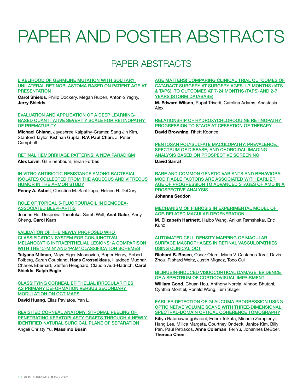## <span id="page-9-0"></span>PAPER AND POSTER ABSTRACTS

### PAPER ABSTRACTS

#### [LIKELIHOOD OF GERMLINE MUTATION WITH SOLITARY](http://aosonline.org/assets/Annual-Meeting/Program-Books/AOS21-Program-Book-FINAL-REV.pdf#page=17)  [UNILATERAL RETINOBLASTOMA BASED ON PATIENT AGE AT](http://aosonline.org/assets/Annual-Meeting/Program-Books/AOS21-Program-Book-FINAL-REV.pdf#page=17)  **[PRESENTATION](http://aosonline.org/assets/Annual-Meeting/Program-Books/AOS21-Program-Book-FINAL-REV.pdf#page=17)**

Carol Shields, Philip Dockery, Megan Ruben, Antonio Yaghy, Jerry Shields

#### [EVALUATION AND APPLICATION OF A DEEP LEARNING-](http://aosonline.org/assets/Annual-Meeting/Program-Books/AOS21-Program-Book-FINAL-REV.pdf#page=18)[BASED QUANTITATIVE SEVERITY SCALE FOR RETINOPATHY](http://aosonline.org/assets/Annual-Meeting/Program-Books/AOS21-Program-Book-FINAL-REV.pdf#page=18)  [OF PREMATURITY](http://aosonline.org/assets/Annual-Meeting/Program-Books/AOS21-Program-Book-FINAL-REV.pdf#page=18)

Michael Chiang, Jayashree Kalpathy-Cramer, Sang Jin Kim, Stanford Taylor, Kishnan Gupta, R.V. Paul Chan, J. Peter Campbell

#### [RETINAL HEMORRHAGE PATTERNS: A NEW PARADIGM](http://aosonline.org/assets/Annual-Meeting/Program-Books/AOS21-Program-Book-FINAL-REV.pdf#page=19)

Alex Levin, Gil Binenbaum, Brian Forbes

IN VITRO ANTIBIOTIC RESISTANCE AMONG BACTERIAL [ISOLATES COLLECTED FROM THE AQUEOUS AND VITREOUS](http://aosonline.org/assets/Annual-Meeting/Program-Books/AOS21-Program-Book-FINAL-REV.pdf#page=20)  [HUMOR IN THE ARMOR STUDY](http://aosonline.org/assets/Annual-Meeting/Program-Books/AOS21-Program-Book-FINAL-REV.pdf#page=20)

Penny A. Asbell, Christine M. Sanfilippo, Heleen H. DeCory

### [ROLE OF TOPICAL 5-FLUOROURACIL IN DEMODEX-](http://aosonline.org/assets/Annual-Meeting/Program-Books/AOS21-Program-Book-FINAL-REV.pdf#page=21)[ASSOCIATED BLEPHARITIS](http://aosonline.org/assets/Annual-Meeting/Program-Books/AOS21-Program-Book-FINAL-REV.pdf#page=21)

Joanne Ho, Despoina Theotoka, Sarah Wall, Anat Galor, Anny Cheng, Carol Karp

[VALIDATION OF THE NEWLY PROPOSED WHO](http://aosonline.org/assets/Annual-Meeting/Program-Books/AOS21-Program-Book-FINAL-REV.pdf#page=22)  [CLASSIFICATION SYSTEM FOR CONJUNCTIVAL](http://aosonline.org/assets/Annual-Meeting/Program-Books/AOS21-Program-Book-FINAL-REV.pdf#page=22)  [MELANOCYTIC INTRAEPITHELIAL LESIONS: A COMPARISON](http://aosonline.org/assets/Annual-Meeting/Program-Books/AOS21-Program-Book-FINAL-REV.pdf#page=22)  [WITH THE 'C-MIN' AND 'PAM' CLASSIFICATION SCHEMES](http://aosonline.org/assets/Annual-Meeting/Program-Books/AOS21-Program-Book-FINAL-REV.pdf#page=22)

Tatyana Milman, Maya Eiger-Moscovich, Roger Henry, Robert Folberg, Sarah Coupland, Hans Grossniklaus, Hardeep Mudhar, Charles Eberhart, Steffen Heegaard, Claudia Aud-Hädrich, Carol Shields, Ralph Eagle

#### [CLASSIFYING CORNEAL EPITHELIAL IRREGULARITIES](http://aosonline.org/assets/Annual-Meeting/Program-Books/AOS21-Program-Book-FINAL-REV.pdf#page=23)  [AS PRIMARY DEFORMATION VERSUS SECONDARY](http://aosonline.org/assets/Annual-Meeting/Program-Books/AOS21-Program-Book-FINAL-REV.pdf#page=23)  [MODULATION ON OCT MAPS](http://aosonline.org/assets/Annual-Meeting/Program-Books/AOS21-Program-Book-FINAL-REV.pdf#page=23)

David Huang, Elias Pavlatos, Yan Li

#### [REVISITED CORNEAL ANATOMY: STROMAL PEELING OF](http://aosonline.org/assets/Annual-Meeting/Program-Books/AOS21-Program-Book-FINAL-REV.pdf#page=24)  PENETRATING KERATOPLASTY GRAFTS THROUGH A NEWLY [IDENTIFIED NATURAL SURGICAL PLANE OF SEPARATION](http://aosonline.org/assets/Annual-Meeting/Program-Books/AOS21-Program-Book-FINAL-REV.pdf#page=24) Angeli Christy Yu, Massimo Busin

[AGE MATTERS! COMPARING CLINICAL TRIAL OUTCOMES OF](http://aosonline.org/assets/Annual-Meeting/Program-Books/AOS21-Program-Book-FINAL-REV.pdf#page=25)  [CATARACT SURGERY AT SURGERY AGES 1-7 MONTHS \(IATS](http://aosonline.org/assets/Annual-Meeting/Program-Books/AOS21-Program-Book-FINAL-REV.pdf#page=25)  [& TAPS\), TO OUTCOMES AT 7-24 MONTHS \(TAPS\) AND 2-7](http://aosonline.org/assets/Annual-Meeting/Program-Books/AOS21-Program-Book-FINAL-REV.pdf#page=25)  [YEARS \(STORM DATABASE\)](http://aosonline.org/assets/Annual-Meeting/Program-Books/AOS21-Program-Book-FINAL-REV.pdf#page=25)

M. Edward Wilson, Rupal Trivedi, Carolina Adams, Anastasia Alex

[RELATIONSHIP OF HYDROXYCHLOROQUINE RETINOPATHY](http://aosonline.org/assets/Annual-Meeting/Program-Books/AOS21-Program-Book-FINAL-REV.pdf#page=26)  [PROGRESSION TO STAGE AT CESSATION OF THERAPY](http://aosonline.org/assets/Annual-Meeting/Program-Books/AOS21-Program-Book-FINAL-REV.pdf#page=26) David Browning, Rhett Koonce

[PENTOSAN POLYSULFATE MACULOPATHY: PREVALENCE,](http://aosonline.org/assets/Annual-Meeting/Program-Books/AOS21-Program-Book-FINAL-REV.pdf#page=27)  [SPECTRUM OF DISEASE, AND CHOROIDAL IMAGING](http://aosonline.org/assets/Annual-Meeting/Program-Books/AOS21-Program-Book-FINAL-REV.pdf#page=27)  [ANALYSIS BASED ON PROSPECTIVE SCREENING](http://aosonline.org/assets/Annual-Meeting/Program-Books/AOS21-Program-Book-FINAL-REV.pdf#page=27)

### David Sarraf

[RARE AND COMMON GENETIC VARIANTS AND BEHAVIORAL](http://aosonline.org/assets/Annual-Meeting/Program-Books/AOS21-Program-Book-FINAL-REV.pdf#page=28)  [MODIFIABLE FACTORS ARE ASSOCIATED WITH EARLIER](http://aosonline.org/assets/Annual-Meeting/Program-Books/AOS21-Program-Book-FINAL-REV.pdf#page=28)  AGE OF PROGRESSION TO ADVANCED STAGES OF AMD IN A [PROSPECTIVE ANALYSIS](http://aosonline.org/assets/Annual-Meeting/Program-Books/AOS21-Program-Book-FINAL-REV.pdf#page=28)

Johanna Seddon

#### [MECHANISM OF FIBROSIS IN EXPERIMENTAL MODEL OF](http://aosonline.org/assets/Annual-Meeting/Program-Books/AOS21-Program-Book-FINAL-REV.pdf#page=29)  [AGE-RELATED MACULAR DEGENERATION](http://aosonline.org/assets/Annual-Meeting/Program-Books/AOS21-Program-Book-FINAL-REV.pdf#page=29)

M. Elizabeth Hartnett, Haibo Wang, Aniket Ramshekar, Eric Kunz

#### [AUTOMATED CELL DENSITY MAPPING OF MACULAR](http://aosonline.org/assets/Annual-Meeting/Program-Books/AOS21-Program-Book-FINAL-REV.pdf#page=30)  [SURFACE MACROPHAGES IN RETINAL VASCULOPATHIES](http://aosonline.org/assets/Annual-Meeting/Program-Books/AOS21-Program-Book-FINAL-REV.pdf#page=30)  [USING CLINICAL OCT](http://aosonline.org/assets/Annual-Meeting/Program-Books/AOS21-Program-Book-FINAL-REV.pdf#page=30)

Richard B. Rosen, Oscar Otero, Maria V. Castanos Toral, Davis Zhou, Rishard Weitz, Justin Migacz, Toco Cui

#### [BILIRUBIN-INDUCED VISUOCORTICAL DAMAGE: EVIDENCE](http://aosonline.org/assets/Annual-Meeting/Program-Books/AOS21-Program-Book-FINAL-REV.pdf#page=31)  [OF A SPECTRUM OF CORTICOVISUAL IMPAIRMENT](http://aosonline.org/assets/Annual-Meeting/Program-Books/AOS21-Program-Book-FINAL-REV.pdf#page=31)

William Good, Chuan Hou, Anthony Norcia, Vinnod Bhutani, Cynthia Montiel, Ronald Wong, Terri Slagel

### [EARLIER DETECTION OF GLAUCOMA PROGRESSION USING](http://aosonline.org/assets/Annual-Meeting/Program-Books/AOS21-Program-Book-FINAL-REV.pdf#page=32)  [OPTIC NERVE VOLUME SCANS WITH THREE-DIMENSIONAL](http://aosonline.org/assets/Annual-Meeting/Program-Books/AOS21-Program-Book-FINAL-REV.pdf#page=32)  [SPECTRAL-DOMAIN OPTICAL COHERENCE TOMOGRAPHY](http://aosonline.org/assets/Annual-Meeting/Program-Books/AOS21-Program-Book-FINAL-REV.pdf#page=32)

Kitiya Ratanawongphaibul, Edem Tsikata, Michele Zemplenyi, Hang Lee, Milica Margeta, Courtney Ondeck, Janice Kim, Billy Pan, Paul Petrakos, Anne Coleman, Fei Yu, Johannes DeBoer, Theresa Chen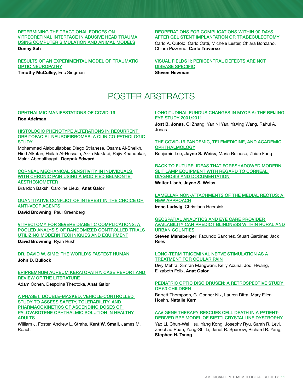### [DETERMINING THE TRACTIONAL FORCES ON](http://aosonline.org/assets/Annual-Meeting/Program-Books/AOS21-Program-Book-FINAL-REV.pdf#page=33)  [VITREORETINAL INTERFACE IN ABUSIVE HEAD TRAUMA](http://aosonline.org/assets/Annual-Meeting/Program-Books/AOS21-Program-Book-FINAL-REV.pdf#page=33)  [USING COMPUTER SIMULATION AND ANIMAL MODELS](http://aosonline.org/assets/Annual-Meeting/Program-Books/AOS21-Program-Book-FINAL-REV.pdf#page=33)

Donny Suh

[RESULTS OF AN EXPERIMENTAL MODEL OF TRAUMATIC](http://aosonline.org/assets/Annual-Meeting/Program-Books/AOS21-Program-Book-FINAL-REV.pdf#page=34)  [OPTIC NEUROPATHY](http://aosonline.org/assets/Annual-Meeting/Program-Books/AOS21-Program-Book-FINAL-REV.pdf#page=34) **Timothy McCulley, Eric Singman** 

### [REOPERATIONS FOR COMPLICATIONS WITHIN 90 DAYS](http://aosonline.org/assets/Annual-Meeting/Program-Books/AOS21-Program-Book-FINAL-REV.pdf#page=35)  [AFTER GEL STENT IMPLANTATION OR TRABECULECTOMY](http://aosonline.org/assets/Annual-Meeting/Program-Books/AOS21-Program-Book-FINAL-REV.pdf#page=35)

Carlo A. Cutolo, Carlo Catti, Michele Lester, Chiara Bonzano, Chiara Pizzorno, Carlo Traverso

### [VISUAL FIELDS II: PERICENTRAL DEFECTS ARE NOT](http://aosonline.org/assets/Annual-Meeting/Program-Books/AOS21-Program-Book-FINAL-REV.pdf#page=36)  [DISEASE SPECIFIC](http://aosonline.org/assets/Annual-Meeting/Program-Books/AOS21-Program-Book-FINAL-REV.pdf#page=36)

Steven Newman

### POSTER ABSTRACTS

### [OPHTHALMIC MANIFESTATIONS OF COVID-19](http://aosonline.org/assets/Annual-Meeting/Program-Books/AOS21-Program-Book-FINAL-REV.pdf#page=38)

Ron Adelman

#### [HISTOLOGIC PHENOTYPE ALTERATIONS IN RECURRENT](http://aosonline.org/assets/Annual-Meeting/Program-Books/AOS21-Program-Book-FINAL-REV.pdf#page=39)  [ORBITOFACIAL NEUROFIBROMAS: A CLINICO-PATHOLOGIC](http://aosonline.org/assets/Annual-Meeting/Program-Books/AOS21-Program-Book-FINAL-REV.pdf#page=39)  **[STUDY](http://aosonline.org/assets/Annual-Meeting/Program-Books/AOS21-Program-Book-FINAL-REV.pdf#page=39)**

Mohammad Alabduljabbar, Diego Strianese, Osama Al-Sheikh, Hind Alkatan, Hailah Al-Hussain, Azza Maktabi, Rajiv Khandekar, Malak Abedalthagafi, Deepak Edward

### [CORNEAL MECHANICAL SENSITIVITY IN INDIVIDUALS](http://aosonline.org/assets/Annual-Meeting/Program-Books/AOS21-Program-Book-FINAL-REV.pdf#page=40)  [WITH CHRONIC PAIN USING A MODIFIED BELMONTE](http://aosonline.org/assets/Annual-Meeting/Program-Books/AOS21-Program-Book-FINAL-REV.pdf#page=40)  [AESTHESIOMETER](http://aosonline.org/assets/Annual-Meeting/Program-Books/AOS21-Program-Book-FINAL-REV.pdf#page=40)

Brandon Baksh, Caroline Lieux, Anat Galor

### [QUANTITATIVE CONFLICT OF INTEREST IN THE CHOICE OF](http://aosonline.org/assets/Annual-Meeting/Program-Books/AOS21-Program-Book-FINAL-REV.pdf#page=41)  [ANTI-VEGF AGENTS](http://aosonline.org/assets/Annual-Meeting/Program-Books/AOS21-Program-Book-FINAL-REV.pdf#page=41) David Browning, Paul Greenberg

[VITRECTOMY FOR SEVERE DIABETIC COMPLICATIONS: A](http://aosonline.org/assets/Annual-Meeting/Program-Books/AOS21-Program-Book-FINAL-REV.pdf#page=42)  [POOLED ANALYSIS OF RANDOMIZED CONTROLLED TRIALS](http://aosonline.org/assets/Annual-Meeting/Program-Books/AOS21-Program-Book-FINAL-REV.pdf#page=42)  [UTILIZING MODERN TECHNIQUES AND EQUIPMENT](http://aosonline.org/assets/Annual-Meeting/Program-Books/AOS21-Program-Book-FINAL-REV.pdf#page=42) David Browning, Ryan Rush

[DR. DAVID W. SIME: THE WORLD'S FASTEST HUMAN](http://aosonline.org/assets/Annual-Meeting/Program-Books/AOS21-Program-Book-FINAL-REV.pdf#page=43) John D. Bullock

### [EPIPREMNUM AUREUM KERATOPATHY: CASE REPORT AND](http://aosonline.org/assets/Annual-Meeting/Program-Books/AOS21-Program-Book-FINAL-REV.pdf#page=44)  [REVIEW OF THE LITERATURE](http://aosonline.org/assets/Annual-Meeting/Program-Books/AOS21-Program-Book-FINAL-REV.pdf#page=44)

Adam Cohen, Despoina Theotoka, Anat Galor

### [A PHASE I, DOUBLE-MASKED, VEHICLE-CONTROLLED](http://aosonline.org/assets/Annual-Meeting/Program-Books/AOS21-Program-Book-FINAL-REV.pdf#page=45)  [STUDY TO ASSESS SAFETY, TOLERABILITY, AND](http://aosonline.org/assets/Annual-Meeting/Program-Books/AOS21-Program-Book-FINAL-REV.pdf#page=45)  [PHARMACOKINETICS OF ASCENDING DOSES OF](http://aosonline.org/assets/Annual-Meeting/Program-Books/AOS21-Program-Book-FINAL-REV.pdf#page=45)  [PALOVAROTENE OPHTHALMIC SOLUTION IN HEALTHY](http://aosonline.org/assets/Annual-Meeting/Program-Books/AOS21-Program-Book-FINAL-REV.pdf#page=45)  [ADULTS](http://aosonline.org/assets/Annual-Meeting/Program-Books/AOS21-Program-Book-FINAL-REV.pdf#page=45)

William J. Foster, Andrew L. Strahs, Kent W. Small, James M. Roach

#### [LONGITUDINAL FUNDUS CHANGES IN MYOPIA: THE BEIJING](http://aosonline.org/assets/Annual-Meeting/Program-Books/AOS21-Program-Book-FINAL-REV.pdf#page=46)  [EYE STUDY 2001/2011](http://aosonline.org/assets/Annual-Meeting/Program-Books/AOS21-Program-Book-FINAL-REV.pdf#page=46)

Jost B. Jonas, Qi Zhang, Yan Ni Yan, YaXing Wang, Rahul A. Jonas

#### [THE COVID-19 PANDEMIC, TELEMEDICINE, AND ACADEMIC](http://aosonline.org/assets/Annual-Meeting/Program-Books/AOS21-Program-Book-FINAL-REV.pdf#page=47)  **[OPHTHALMOLOGY](http://aosonline.org/assets/Annual-Meeting/Program-Books/AOS21-Program-Book-FINAL-REV.pdf#page=47)**

Benjamin Lee, Jayne S. Weiss, Maria Reinoso, Zhide Fang

### [BACK TO FUTURE: IDEAS THAT FORESHADOWED MODERN](http://aosonline.org/assets/Annual-Meeting/Program-Books/AOS21-Program-Book-FINAL-REV.pdf#page=48)  [SLIT LAMP EQUIPMENT WITH REGARD TO CORNEAL](http://aosonline.org/assets/Annual-Meeting/Program-Books/AOS21-Program-Book-FINAL-REV.pdf#page=48)  [DIAGNOSIS AND DOCUMENTATION](http://aosonline.org/assets/Annual-Meeting/Program-Books/AOS21-Program-Book-FINAL-REV.pdf#page=48)

Walter Lisch, Jayne S. Weiss

### [LAMELLAR NON-ATTACHMENTS OF THE MEDIAL RECTUS: A](http://aosonline.org/assets/Annual-Meeting/Program-Books/AOS21-Program-Book-FINAL-REV.pdf#page=49)  [NEW APPROACH](http://aosonline.org/assets/Annual-Meeting/Program-Books/AOS21-Program-Book-FINAL-REV.pdf#page=49)

Irene Ludwig, Christiaan Heersink

#### [GEOSPATIAL ANALYTICS AND EYE CARE PROVIDER](http://aosonline.org/assets/Annual-Meeting/Program-Books/AOS21-Program-Book-FINAL-REV.pdf#page=50)  [AVAILABILITY CAN PREDICT BLINDNESS WITHIN RURAL AND](http://aosonline.org/assets/Annual-Meeting/Program-Books/AOS21-Program-Book-FINAL-REV.pdf#page=50)  [URBAN COUNTIES](http://aosonline.org/assets/Annual-Meeting/Program-Books/AOS21-Program-Book-FINAL-REV.pdf#page=50)

Steven Mansberger, Facundo Sanchez, Stuart Gardiner, Jack Rees

#### [LONG-TERM TRIGEMINAL NERVE STIMULATION AS A](http://aosonline.org/assets/Annual-Meeting/Program-Books/AOS21-Program-Book-FINAL-REV.pdf#page=51)  [TREATMENT FOR OCULAR PAIN](http://aosonline.org/assets/Annual-Meeting/Program-Books/AOS21-Program-Book-FINAL-REV.pdf#page=51)

Divy Mehra, Simran Mangwani, Kelly Acuña, Jodi Hwang, Elizabeth Felix, Anat Galor

### [PEDIATRIC OPTIC DISC DRUSEN: A RETROSPECTIVE STUDY](http://aosonline.org/assets/Annual-Meeting/Program-Books/AOS21-Program-Book-FINAL-REV.pdf#page=52)  [OF 63 CHILDREN](http://aosonline.org/assets/Annual-Meeting/Program-Books/AOS21-Program-Book-FINAL-REV.pdf#page=52)

Barrett Thompson, G. Conner Nix, Lauren Ditta, Mary Ellen Hoehn, Natalie Kerr

#### [AAV GENE THERAPY RESCUES CELL DEATH IN A PATIENT-](http://aosonline.org/assets/Annual-Meeting/Program-Books/AOS21-Program-Book-FINAL-REV.pdf#page=53)[DERIVED RPE MODEL OF BIETTI CRYSTALLINE DYSTROPHY](http://aosonline.org/assets/Annual-Meeting/Program-Books/AOS21-Program-Book-FINAL-REV.pdf#page=53)

Yao Li, Chun-Wei Hsu, Yang Kong, Josephy Ryu, Sarah R. Levi, Zhechao Ruan, Yong-Shi Li, Janet R. Sparrow, Richard R. Yang, Stephen H. Tsang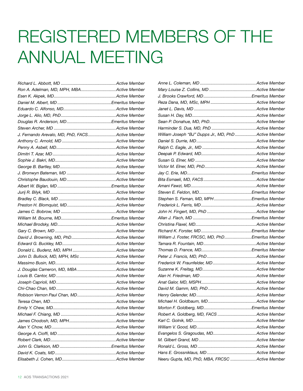## <span id="page-11-0"></span>REGISTERED MEMBERS OF THE ANNUAL MEETING

| Ron A. Adelman, MD, MPH, MBAActive Member       |  |
|-------------------------------------------------|--|
|                                                 |  |
|                                                 |  |
|                                                 |  |
|                                                 |  |
|                                                 |  |
|                                                 |  |
| J. Fernando Arevalo, MD, PhD, FACSActive Member |  |
|                                                 |  |
|                                                 |  |
|                                                 |  |
|                                                 |  |
|                                                 |  |
|                                                 |  |
|                                                 |  |
|                                                 |  |
|                                                 |  |
|                                                 |  |
|                                                 |  |
|                                                 |  |
|                                                 |  |
|                                                 |  |
|                                                 |  |
|                                                 |  |
|                                                 |  |
|                                                 |  |
| John D. Bullock, MD, MPH, MSc Active Member     |  |
|                                                 |  |
| J. Douglas Cameron, MD, MBA Active Member       |  |
|                                                 |  |
|                                                 |  |
|                                                 |  |
| Robison Vernon Paul Chan, MDActive Member       |  |
|                                                 |  |
|                                                 |  |
|                                                 |  |
|                                                 |  |
|                                                 |  |
|                                                 |  |
|                                                 |  |
|                                                 |  |
|                                                 |  |
|                                                 |  |

| William Joseph "BJ" Dupps Jr., MD, PhD Active Member |  |
|------------------------------------------------------|--|
|                                                      |  |
|                                                      |  |
|                                                      |  |
|                                                      |  |
|                                                      |  |
|                                                      |  |
|                                                      |  |
|                                                      |  |
|                                                      |  |
| Stephen S. Feman, MD, MPHEmeritus Member             |  |
|                                                      |  |
|                                                      |  |
|                                                      |  |
|                                                      |  |
|                                                      |  |
| William J. Foster, FRCSC, MD, PhDEmeritus Member     |  |
|                                                      |  |
|                                                      |  |
|                                                      |  |
|                                                      |  |
|                                                      |  |
|                                                      |  |
|                                                      |  |
|                                                      |  |
|                                                      |  |
|                                                      |  |
|                                                      |  |
| Robert A. Goldberg, MD, FACS Active Member           |  |
|                                                      |  |
|                                                      |  |
|                                                      |  |
|                                                      |  |
|                                                      |  |
|                                                      |  |
| Neeru Gupta, MD, PhD, MBA, FRCSC Active Member       |  |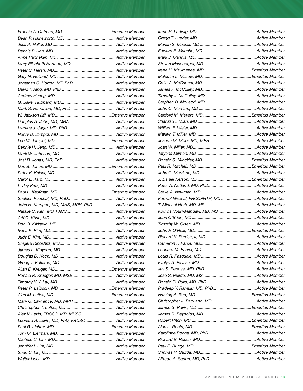| John H. Kempen, MD, MHS, MPH, PhDActive Member |  |
|------------------------------------------------|--|
|                                                |  |
|                                                |  |
|                                                |  |
|                                                |  |
|                                                |  |
|                                                |  |
|                                                |  |
|                                                |  |
|                                                |  |
|                                                |  |
|                                                |  |
|                                                |  |
|                                                |  |
|                                                |  |
|                                                |  |
|                                                |  |
| Alex V. Levin, FRCSC, MD, MHSC Active Member   |  |
| Leonard A. Levin, MD, PhD, FRCSCActive Member  |  |
|                                                |  |
|                                                |  |
|                                                |  |
|                                                |  |
|                                                |  |
|                                                |  |
|                                                |  |

| Kanwal Nischal, FRCOPHTH, MDActive Member  |  |
|--------------------------------------------|--|
|                                            |  |
|                                            |  |
|                                            |  |
| Kouros Nouri-Mahdavi, MD, MS Active Member |  |
|                                            |  |
|                                            |  |
|                                            |  |
|                                            |  |
|                                            |  |
|                                            |  |
|                                            |  |
|                                            |  |
|                                            |  |
|                                            |  |
|                                            |  |
|                                            |  |
|                                            |  |
|                                            |  |
|                                            |  |
|                                            |  |
|                                            |  |
|                                            |  |
|                                            |  |
|                                            |  |
|                                            |  |
|                                            |  |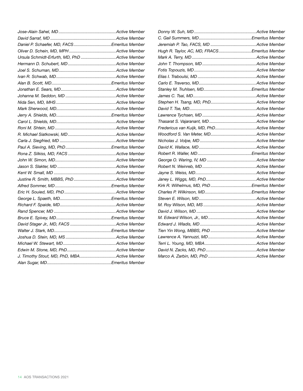| Daniel P. Schaefer, MD, FACSEmeritus Member   |  |
|-----------------------------------------------|--|
|                                               |  |
| Ursula Schmidt-Erfurth, MD, PhD Active Member |  |
|                                               |  |
|                                               |  |
|                                               |  |
|                                               |  |
|                                               |  |
|                                               |  |
|                                               |  |
|                                               |  |
|                                               |  |
|                                               |  |
|                                               |  |
|                                               |  |
|                                               |  |
|                                               |  |
|                                               |  |
|                                               |  |
|                                               |  |
|                                               |  |
|                                               |  |
|                                               |  |
|                                               |  |
|                                               |  |
|                                               |  |
|                                               |  |
|                                               |  |
|                                               |  |
|                                               |  |
|                                               |  |
|                                               |  |
|                                               |  |
| J. Timothy Stout, MD, PhD, MBAActive Member   |  |
|                                               |  |

| Hugh R. Taylor, AC, MD, FRACSEmeritus Member |  |
|----------------------------------------------|--|
|                                              |  |
|                                              |  |
|                                              |  |
|                                              |  |
|                                              |  |
|                                              |  |
|                                              |  |
|                                              |  |
|                                              |  |
|                                              |  |
|                                              |  |
|                                              |  |
|                                              |  |
|                                              |  |
|                                              |  |
|                                              |  |
|                                              |  |
|                                              |  |
|                                              |  |
|                                              |  |
| Kirk R. Wilhelmus, MD, PhDEmeritus Member    |  |
|                                              |  |
|                                              |  |
|                                              |  |
|                                              |  |
|                                              |  |
|                                              |  |
|                                              |  |
|                                              |  |
|                                              |  |
|                                              |  |
|                                              |  |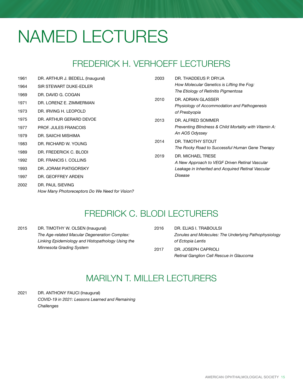## <span id="page-14-0"></span>NAMED LECTURES

### FREDERICK H. VERHOEFF LECTURERS

| 1961 | DR. ARTHUR J. BEDELL (Inaugural)               | 2003 | DR. THADDEUS P. DRYJA                                              |
|------|------------------------------------------------|------|--------------------------------------------------------------------|
| 1964 | SIR STEWART DUKE-EDLER                         |      | How Molecular Genetics is Lifting the Fog:                         |
| 1969 | DR. DAVID G. COGAN                             |      | The Etiology of Retinitis Pigmentosa                               |
| 1971 | DR. LORENZ E. ZIMMERMAN                        | 2010 | DR. ADRIAN GLASSER<br>Physiology of Accommodation and Pathogenesis |
| 1973 | DR. IRVING H. LEOPOLD                          |      | of Presbyopia                                                      |
| 1975 | DR. ARTHUR GERARD DEVOE                        | 2013 | DR. ALFRED SOMMER                                                  |
| 1977 | <b>PROF. JULES FRANCOIS</b>                    |      | Preventing Blindness & Child Mortality with Vitamin A:             |
| 1979 | DR. SAIICHI MISHIMA                            |      | An AOS Odyssey                                                     |
| 1983 | DR. RICHARD W. YOUNG                           | 2014 | DR. TIMOTHY STOUT                                                  |
| 1989 | DR. FREDERICK C. BLODI                         |      | The Rocky Road to Successful Human Gene Therapy                    |
| 1992 | DR. FRANCIS I. COLLINS                         | 2019 | DR. MICHAEL TRESE                                                  |
| 1993 | DR. JORAM PIATIGORSKY                          |      | A New Approach to VEGF Driven Retinal Vascular                     |
|      |                                                |      | Leakage in Inherited and Acquired Retinal Vascular                 |
| 1997 | DR. GEOFFREY ARDEN                             |      | Disease                                                            |
| 2002 | DR. PAUL SIEVING                               |      |                                                                    |
|      | How Many Photoreceptors Do We Need for Vision? |      |                                                                    |

### FREDRICK C. BLODI LECTURERS

| 2015 | DR. TIMOTHY W. OLSEN (Inaugural)                  | 2016 | DR. ELIAS I. TRABOULSI                                |
|------|---------------------------------------------------|------|-------------------------------------------------------|
|      | The Age-related Macular Degeneration Complex:     |      | Zonules and Molecules: The Underlying Pathophysiology |
|      | Linking Epidemiology and Histopathology Using the |      | of Ectopia Lentis                                     |
|      | Minnesota Grading System                          | 2017 | DR. JOSEPH CAPRIOLI                                   |
|      |                                                   |      | Retinal Ganglion Cell Rescue in Glaucoma              |

### MARILYN T. MILLER LECTURERS

2021 DR. ANTHONY FAUCI (Inaugural) *COVID-19 in 2021: Lessons Learned and Remaining Challenges*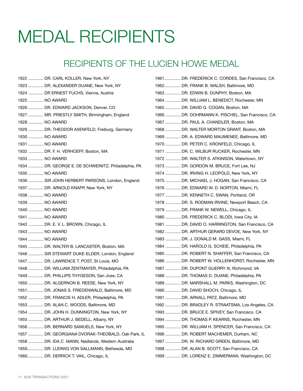## <span id="page-15-0"></span>MEDAL RECIPIENTS

### RECIPIENTS OF THE LUCIEN HOWE MEDAL

|                | 1922  DR. CARL KOLLER, New York, NY                 |
|----------------|-----------------------------------------------------|
|                | 1923  DR. ALEXANDER DUANE, New York, NY             |
|                | 1924  DR ERNEST FUCHS, Vienna, Austria              |
| 1925  NO AWARD |                                                     |
|                | 1926  DR. EDWARD JACKSON, Denver, CO                |
|                | 1927  MR. PRIESTLY SMITH, Birmingham, England       |
| 1928  NO AWARD |                                                     |
|                | 1929  DR. THEODOR AXENFELD, Freiburg, Germany       |
| 1930  NO AWARD |                                                     |
| 1931  NO AWARD |                                                     |
|                | 1932  DR. F. H. VERHOEFF, Boston, MA                |
| 1933  NO AWARD |                                                     |
|                | 1934  DR. GEORGE E. DE SCHWEINITZ, Philadelphia, PA |
| 1935  NO AWARD |                                                     |
|                | 1936  SIR JOHN HERBERT PARSONS, London, England     |
|                | 1937  DR. ARNOLD KNAPP, New York, NY                |
| 1938  NO AWARD |                                                     |
| 1939  NO AWARD |                                                     |
| 1940  NO AWARD |                                                     |
| 1941  NO AWARD |                                                     |
|                | 1942  DR. E. V. L. BROWN, Chicago, IL               |
| 1943  NO AWARD |                                                     |
| 1944  NO AWARD |                                                     |
|                | 1945  DR. WALTER B. LANCASTER, Boston, MA           |
|                | 1946  SIR STEWART DUKE-ELDER, London, England       |
|                | 1947  DR. LAWRENCE T. POST, St Louis, MO            |
|                | 1948  DR. WILLIAM ZENTMAYER, Philadelphia, PA       |
|                | 1949  DR. PHILLIPS THYGESON, San Jose, CA           |
|                | 1950  DR. ALGERNON B. REESE, New York, NY           |
|                | 1951 DR. JONAS S. FRIEDENWALD, Baltimore, MD        |
|                | 1952  DR. FRANCIS H. ADLER, Philadelphia, PA        |
|                | 1953  DR. ALAN C. WOODS, Baltimore, MD              |
|                | 1954  DR. JOHN H. DUNNINGTON, New York, NY          |
|                | 1955  DR. ARTHUR J. BEDELL, Albany, NY              |
|                | 1956  DR. BERNARD SAMUELS, New York, NY             |
|                | 1957  DR. GEORGIANA DVORAK-THEOBALD, Oak Park, IL   |
|                | 1958  DR. IDA C. MANN, Nedlands, Western Australia  |
|                | 1959 DR. LUDWIG VON SALLMANN, Bethesda, MD          |
|                | 1960 DR. DERRICK T. VAIL, Chicago, IL               |
|                |                                                     |

| 1961 DR. FREDERICK C. CORDES, San Francisco, CA  |
|--------------------------------------------------|
| 1962 DR. FRANK B. WALSH, Baltimore, MD           |
| 1963  DR. EDWIN B. DUNPHY, Boston, MA            |
| 1964  DR. WILLIAM L. BENEDICT, Rochester, MN     |
| 1965  DR. DAVID G. COGAN, Boston, MA             |
| 1966  DR. DOHRMANN K. PISCHEL, San Francisco, CA |
| 1967  DR. PAUL A. CHANDLER, Boston, MA           |
| 1968  DR. WALTER MORTON GRANT, Boston, MA        |
| 1969  DR. A. EDWARD MAUMENEE, Baltimore, MD      |
| 1970  DR. PETER C. KRONFELD, Chicago, IL         |
| 1971  DR. C. WILBUR RUCKER, Rochester, MN        |
| 1972  DR. WALTER S. ATKINSON, Watertown, NY      |
| 1973  DR. GORDON M. BRUCE, Fort Lee, NJ          |
| 1974  DR. IRVING H. LEOPOLD, New York, NY        |
| 1975  DR. MICHAEL J. HOGAN, San Francisco, CA    |
| 1976  DR. EDWARD W. D. NORTON, Miami, FL         |
| 1977  DR. KENNETH C. SWAN, Portland, OR          |
| 1978  DR. S. RODMAN IRVINE, Newport Beach, CA    |
| 1979  DR. FRANK W. NEWELL, Chicago, IL           |
| 1980  DR. FREDERICK C. BLODI, Iowa City, IA      |
| 1981  DR. DAVID O. HARRINGTON, San Francisco, CA |
| 1982  DR. ARTHUR GERARD DEVOE, New York, NY      |
| 1983  DR. J. DONALD M. GASS, Miami, FL           |
| 1984  DR. HAROLD G. SCHEIE, Philadelphia, PA     |
| 1985  DR. ROBERT N. SHAFFER, San Francisco, CA   |
| 1986  DR. ROBERT W. HOLLENHORST, Rochester, MN   |
| 1987  DR. DUPONT GUERRY III, Richmond, VA        |
| 1988  DR. THOMAS D. DUANE, Philadelphia, PA      |
| 1989  DR. MARSHALL M. PARKS, Washington, DC      |
| 1990  DR. DAVID SHOCH, Chicago, IL               |
| 1991  DR. ARNALL PATZ, Baltimore, MD             |
| 1992  DR. BRADLEY R. STRAATSMA, Los Angeles, CA  |
| 1993  DR. BRUCE E. SPIVEY, San Francisco, CA     |
| 1994  DR. THOMAS P. KEARNS, Rochester, MN        |
| 1995  DR. WILLIAM H. SPENCER, San Francisco, CA  |
| 1996  DR. ROBERT MACHEMER, Durham, NC            |
| 1997  DR. W. RICHARD GREEN, Baltimore, MD        |
| 1998  DR. ALAN B. SCOTT, San Francisco, CA       |
| 1999  DR. LORENZ E. ZIMMERMAN, Washington, DC    |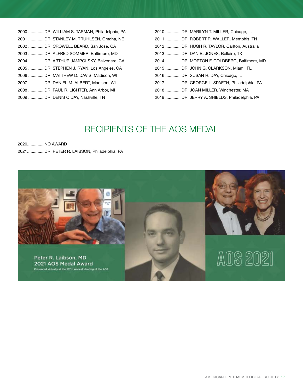| 2000  DR. WILLIAM S. TASMAN, Philadelphia, PA |
|-----------------------------------------------|
| 2001  DR. STANLEY M. TRUHLSEN, Omaha, NE      |
| 2002  DR. CROWELL BEARD, San Jose, CA         |
| 2003  DR. ALFRED SOMMER, Baltimore, MD        |
| 2004  DR. ARTHUR JAMPOLSKY, Belvedere, CA     |
| 2005  DR. STEPHEN J. RYAN, Los Angeles, CA    |
| 2006  DR. MATTHEW D. DAVIS, Madison, WI       |
| 2007  DR. DANIEL M. ALBERT, Madison, WI       |
| 2008  DR. PAUL R. LICHTER, Ann Arbor, MI      |
| 2009  DR. DENIS O'DAY, Nashville, TN          |

| 2010  DR. MARILYN T. MILLER, Chicago, IL     |
|----------------------------------------------|
| 2011  DR. ROBERT R. WALLER, Memphis, TN      |
| 2012  DR. HUGH R. TAYLOR, Carlton, Australia |
| 2013  DR. DAN B. JONES. Bellaire. TX         |
| 2014  DR. MORTON F. GOLDBERG, Baltimore, MD  |
| 2015  DR. JOHN G. CLARKSON, Miami, FL        |
| 2016  DR. SUSAN H. DAY, Chicago, IL          |
| 2017  DR. GEORGE L. SPAETH, Philadelphia, PA |
| 2018  DR. JOAN MILLER, Winchester, MA        |
| 2019  DR. JERRY A. SHIELDS, Philadelphia, PA |

### RECIPIENTS OF THE AOS MEDAL

2020.............. NO AWARD 2021.............. DR. PETER R. LAIBSON, Philadelphia, PA

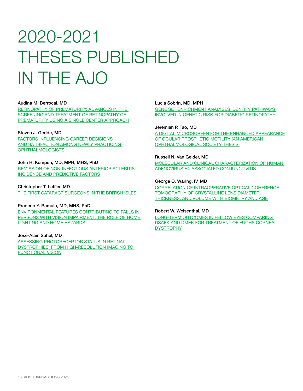## <span id="page-17-0"></span>2020-2021 THESES PUBLISHED IN THE AJO

#### Audina M. Berrocal, MD

[RETINOPATHY OF PREMATURITY: ADVANCES IN THE](https://www.ajo.com/article/S0002-9394(21)00383-4/fulltext)  [SCREENING AND TREATMENT OF RETINOPATHY OF](https://www.ajo.com/article/S0002-9394(21)00383-4/fulltext)  [PREMATURITY USING A SINGLE CENTER APPROACH](https://www.ajo.com/article/S0002-9394(21)00383-4/fulltext)

#### Steven J. Gedde, MD

[FACTORS INFLUENCING CAREER DECISIONS](https://www.ajo.com/article/S0002-9394(21)00333-0/fulltext)  [AND SATISFACTION AMONG NEWLY PRACTICING](https://www.ajo.com/article/S0002-9394(21)00333-0/fulltext)  [OPHTHALMOLOGISTS](https://www.ajo.com/article/S0002-9394(21)00333-0/fulltext)

### John H. Kempen, MD, MPH, MHS, PhD

[REMISSION OF NON-INFECTIOUS ANTERIOR SCLERITIS:](https://www.ajo.com/article/S0002-9394(19)30134-5/fulltext)  [INCIDENCE AND PREDICTIVE FACTORS](https://www.ajo.com/article/S0002-9394(19)30134-5/fulltext)

### Christopher T. Leffler, MD

[THE FIRST CATARACT SURGEONS IN THE BRITISH ISLES](https://www.ajo.com/article/S0002-9394(21)00122-7/fulltext)

#### Pradeep Y. Ramulu, MD, MHS, PhD

[ENVIRONMENTAL FEATURES CONTRIBUTING TO FALLS IN](https://www.ajo.com/article/S0002-9394(21)00221-X/fulltext)  [PERSONS WITH VISION IMPAIRMENT: THE ROLE OF HOME](https://www.ajo.com/article/S0002-9394(21)00221-X/fulltext)  [LIGHTING AND HOME HAZARDS](https://www.ajo.com/article/S0002-9394(21)00221-X/fulltext)

#### José-Alain Sahel, MD

**ASSESSING PHOTORECEPTOR STATUS IN RETINAL** [DYSTROPHIES: FROM HIGH-RESOLUTION IMAGING TO](https://www.ajo.com/article/S0002-9394(21)00212-9/fulltext)  [FUNCTIONAL VISION](https://www.ajo.com/article/S0002-9394(21)00212-9/fulltext)

#### Lucia Sobrin, MD, MPH

[GENE SET ENRICHMENT ANALYSES IDENTIFY PATHWAYS](https://www.ajo.com/article/S0002-9394(21)00336-6/fulltext)  [INVOLVED IN GENETIC RISK FOR DIABETIC RETINOPATHY](https://www.ajo.com/article/S0002-9394(21)00336-6/fulltext)

#### Jeremiah P. Tao, MD

[A DIGITAL MICROSCREEN FOR THE ENHANCED APPEARANCE](https://www.ajo.com/article/S0002-9394(21)00149-5/fulltext)  [OF OCULAR PROSTHETIC MOTILITY \(AN AMERICAN](https://www.ajo.com/article/S0002-9394(21)00149-5/fulltext)  [OPHTHALMOLOGICAL SOCIETY THESIS\)](https://www.ajo.com/article/S0002-9394(21)00149-5/fulltext)

#### Russell N. Van Gelder, MD

[MOLECULAR AND CLINICAL CHARACTERIZATION OF HUMAN](https://www.ajo.com/article/S0002-9394(21)00567-5/fulltext)  [ADENOVIRUS E4-ASSOCIATED CONJUNCTIVITIS](https://www.ajo.com/article/S0002-9394(21)00567-5/fulltext)

#### George O. Waring, IV, MD

[CORRELATION OF INTRAOPERATIVE OPTICAL COHERENCE](https://www.ajo.com/article/S0002-9394(20)30679-6/fulltext)  [TOMOGRAPHY OF CRYSTALLINE LENS DIAMETER,](https://www.ajo.com/article/S0002-9394(20)30679-6/fulltext)  [THICKNESS, AND VOLUME WITH BIOMETRY AND AGE](https://www.ajo.com/article/S0002-9394(20)30679-6/fulltext)

#### Robert W. Weisenthal, MD

[LONG-TERM OUTCOMES IN FELLOW EYES COMPARING](https://www.ajo.com/article/S0002-9394(21)00335-4/fulltext)  [DSAEK AND DMEK FOR TREATMENT OF FUCHS CORNEAL](https://www.ajo.com/article/S0002-9394(21)00335-4/fulltext)  [DYSTROPHY](https://www.ajo.com/article/S0002-9394(21)00335-4/fulltext)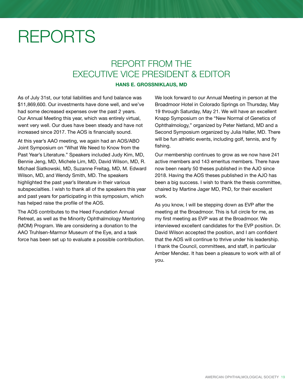## <span id="page-18-0"></span>REPORTS

### REPORT FROM THE EXECUTIVE VICE PRESIDENT & EDITOR

### HANS E. GROSSNIKLAUS, MD

As of July 31st, our total liabilities and fund balance was \$11,869,600. Our investments have done well, and we've had some decreased expenses over the past 2 years. Our Annual Meeting this year, which was entirely virtual, went very well. Our dues have been steady and have not increased since 2017. The AOS is financially sound.

At this year's AAO meeting, we again had an AOS/ABO Joint Symposium on "What We Need to Know from the Past Year's Literature." Speakers included Judy Kim, MD, Bennie Jeng, MD, Michele Lim, MD, David Wilson, MD, R. Michael Siatkowski, MD, Suzanne Freitag, MD, M. Edward Wilson, MD, and Wendy Smith, MD. The speakers highlighted the past year's literature in their various subspecialties. I wish to thank all of the speakers this year and past years for participating in this symposium, which has helped raise the profile of the AOS.

The AOS contributes to the Heed Foundation Annual Retreat, as well as the Minority Ophthalmology Mentoring (MOM) Program. We are considering a donation to the AAO Truhlsen-Marmor Museum of the Eye, and a task force has been set up to evaluate a possible contribution. We look forward to our Annual Meeting in person at the Broadmoor Hotel in Colorado Springs on Thursday, May 19 through Saturday, May 21. We will have an excellent Knapp Symposium on the "New Normal of Genetics of Ophthalmology," organized by Peter Netland, MD and a Second Symposium organized by Julia Haller, MD. There will be fun athletic events, including golf, tennis, and fly fishing.

Our membership continues to grow as we now have 241 active members and 143 emeritus members. There have now been nearly 50 theses published in the AJO since 2018. Having the AOS theses published in the AJO has been a big success. I wish to thank the thesis committee, chaired by Martine Jager MD, PhD, for their excellent work.

As you know, I will be stepping down as EVP after the meeting at the Broadmoor. This is full circle for me, as my first meeting as EVP was at the Broadmoor. We interviewed excellent candidates for the EVP position. Dr. David Wilson accepted the position, and I am confident that the AOS will continue to thrive under his leadership. I thank the Council, committees, and staff, in particular Amber Mendez. It has been a pleasure to work with all of you.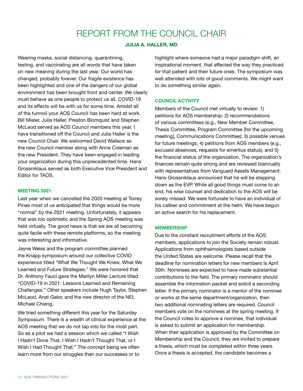### REPORT FROM THE COUNCIL CHAIR

### JULIA A. HALLER, MD

<span id="page-19-0"></span>Wearing masks, social distancing, quarantining, testing, and vaccinating are all words that have taken on new meaning during the last year. Our world has changed, probably forever. Our fragile existence has been highlighted and one of the dangers of our global environment has been brought front and center. We clearly must behave as one people to protect us all. COVID-19 and its effects will be with us for some time. Amidst all of the turmoil your AOS Council has been hard at work. Bill Mieler, Julia Haller, Preston Blomquist and Stephen McLeod served as AOS Council members this year. I have transitioned off the Council and Julia Haller is the new Council Chair. We welcomed David Wallace as the new Council member along with Anne Coleman as the new President. They have been engaged in leading your organization during this unprecedented time. Hans Grossniklaus served as both Executive Vice President and Editor for TAOS.

### MEETING 2021

Last year when we cancelled the 2020 meeting at Torrey Pines most of us anticipated that things would be more "normal" by the 2021 meeting. Unfortunately, it appears that was too optimistic and the Spring AOS meeting was held virtually. The good news is that we are all becoming quite facile with these remote platforms, so the meeting was interesting and informative.

Jayne Weiss and the program committee planned the Knapp symposium around our collective COVID experience titled "What We Thought We Knew, What We Learned and Future Strategies." We were honored that Dr. Anthony Fauci gave the Marilyn Miller Lecture titled "COVID-19 in 2021: Lessons Learned and Remaining Challenges." Other speakers include Hugh Taylor, Stephen McLeod, Anat Galor, and the new director of the NEI, Michael Chiang.

We tried something different this year for the Saturday Symposium. There is a wealth of clinical experience at the AOS meeting that we do not tap into for the most part. So as a pilot we had a session which we called "I Wish I Hadn't Done That, I Wish I Hadn't Thought That, or I Wish I Had Thought That." The concept being we often learn more from our struggles than our successes or to

highlight where someone had a major paradigm shift, an inspirational moment, that affected the way they practiced for that patient and their future ones. The symposium was well attended with lots of good comments. We might want to do something similar again.

### COUNCIL ACTIVITY

Members of the Council met virtually to review: 1) petitions for AOS membership; 2) recommendations of various committees (e.g., New Member Committee, Thesis Committee, Program Committee [for the upcoming meeting], Communications Committee); 3) possible venues for future meetings; 4) petitions from AOS members (e.g., excused absences, requests for emeritus status); and 5) the financial status of the organization. The organization's finances remain quite strong and are reviewed biannually with representatives from Vanguard Assets Management. Hans Grossniklaus announced that he will be stepping down as the EVP. While all good things must come to an end, his wise counsel and dedication to the AOS will be sorely missed. We were fortunate to have an individual of his caliber and commitment at the helm. We have begun an active search for his replacement.

### MEMBERSHIP

Due to the constant recruitment efforts of the AOS members, applications to join the Society remain robust. Applications from ophthalmologists based outside the United States are welcome. Please recall that the deadline for nomination letters for new members is April 30th. Nominees are expected to have made substantial contributions to the field. The primary nominator should assemble the information packet and solicit a seconding letter. If the primary nominator is a mentor of the nominee or works at the same department/organization, then two additional nominating letters are required. Council members vote on the nominees at the spring meeting. If the Council votes to approve a nominee, that individual is asked to submit an application for membership. When their application is approved by the Committee on Membership and the Council, they are invited to prepare a thesis, which must be completed within three years. Once a thesis is accepted, the candidate becomes a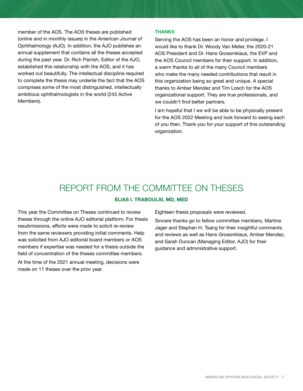<span id="page-20-0"></span>member of the AOS. The AOS theses are published (online and in monthly issues) in the *American Journal of Ophthalmology* (AJO). In addition, the AJO publishes an annual supplement that contains all the theses accepted during the past year. Dr. Rich Parrish, Editor of the AJO, established this relationship with the AOS, and it has worked out beautifully. The intellectual discipline required to complete the thesis may underlie the fact that the AOS comprises some of the most distinguished, intellectually ambitious ophthalmologists in the world (243 Active Members).

### THANKS

Serving the AOS has been an honor and privilege. I would like to thank Dr. Woody Van Meter, the 2020-21 AOS President and Dr. Hans Grossniklaus, the EVP and the AOS Council members for their support. In addition, a warm thanks to all of the many Council members who make the many needed contributions that result in this organization being so great and unique. A special thanks to Amber Mendez and Tim Losch for the AOS organizational support. They are true professionals, and we couldn't find better partners.

I am hopeful that I we will be able to be physically present for the AOS 2022 Meeting and look forward to seeing each of you then. Thank you for your support of this outstanding organization.

### REPORT FROM THE COMMITTEE ON THESES

### ELIAS I. TRABOULSI, MD, MED

This year the Committee on Theses continued to review theses through the online AJO editorial platform. For thesis resubmissions, efforts were made to solicit re-review from the same reviewers providing initial comments. Help was solicited from AJO editorial board members or AOS members if expertise was needed for a thesis outside the field of concentration of the theses committee members. At the time of the 2021 annual meeting, decisions were

made on 11 theses over the prior year.

Eighteen thesis proposals were reviewed.

Sincere thanks go to fellow committee members, Martine Jager and Stephen H. Tsang for their insightful comments and reviews as well as Hans Grossniklaus, Amber Mendez, and Sarah Duncan (Managing Editor, AJO) for their guidance and administrative support.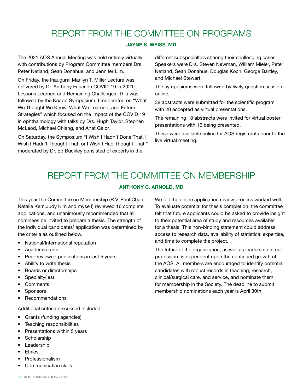### REPORT FROM THE COMMITTEE ON PROGRAMS

### JAYNE S. WEISS, MD

<span id="page-21-0"></span>The 2021 AOS Annual Meeting was held entirely virtually with contributions by Program Committee members Drs. Peter Netland, Sean Donahue, and Jennifer Lim.

On Friday, the Inaugural Marilyn T. Miller Lecture was delivered by Dr. Anthony Fauci on COVID-19 in 2021: Lessons Learned and Remaining Challenges. This was followed by the Knapp Symposium, I moderated on "What We Thought We Knew, What We Learned, and Future Strategies" which focused on the impact of the COVID 19 in ophthalmology with talks by Drs. Hugh Taylor, Stephen McLeod, Michael Chiang, and Anat Galor.

On Saturday, the Symposium "I Wish I Hadn't Done That, I Wish I Hadn't Thought That, or I Wish I Had Thought That!" moderated by Dr. Ed Buckley consisted of experts in the

different subspecialties sharing their challenging cases. Speakers were Drs. Steven Newman, William Mieler, Peter Netland, Sean Donahue, Douglas Koch, George Bartley, and Michael Stewart.

The symposiums were followed by lively question session online.

38 abstracts were submitted for the scientific program with 20 accepted as virtual presentations.

The remaining 18 abstracts were invited for virtual poster presentations with 16 being presented.

These were available online for AOS registrants prior to the live virtual meeting.

### REPORT FROM THE COMMITTEE ON MEMBERSHIP

### ANTHONY C. ARNOLD, MD

This year the Committee on Membership (R.V. Paul Chan, Natalie Kerr, Judy Kim and myself) reviewed 16 complete applications, and unanimously recommended that all nominees be invited to prepare a thesis. The strength of the individual candidates' application was determined by the criteria as outlined below.

- National/International reputation
- Academic rank
- Peer-reviewed publications in last 5 years
- Ability to write thesis
- Boards or directorships
- Specialty(ies)
- Comments
- **Sponsors**
- Recommendations

Additional criteria discussed included:

- Grants (funding agencies)
- Teaching responsibilities
- Presentations within 5 years
- **Scholarship**
- **Leadership**
- **Ethics**
- **Professionalism**
- Communication skills

We felt the online application review process worked well. To evaluate potential for thesis completion, the committee felt that future applicants could be asked to provide insight to their potential area of study and resources available for a thesis. This non-binding statement could address access to research data, availability of statistical expertise, and time to complete the project.

The future of the organization, as well as leadership in our profession, is dependent upon the continued growth of the AOS. All members are encouraged to identify potential candidates with robust records in teaching, research, clinical/surgical care, and service, and nominate them for membership in the Society. The deadline to submit membership nominations each year is April 30th.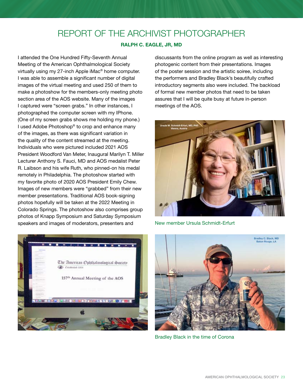### REPORT OF THE ARCHIVIST PHOTOGRAPHER

### RALPH C. EAGLE, JR, MD

<span id="page-22-0"></span>I attended the One Hundred Fifty-Seventh Annual Meeting of the American Ophthalmological Society virtually using my 27-inch Apple iMac® home computer. I was able to assemble a significant number of digital images of the virtual meeting and used 250 of them to make a photoshow for the members-only meeting photo section area of the AOS website. Many of the images I captured were "screen grabs." In other instances, I photographed the computer screen with my IPhone. (One of my screen grabs shows me holding my phone.) I used Adobe Photoshop® to crop and enhance many of the images, as there was significant variation in the quality of the content streamed at the meeting. Individuals who were pictured included 2021 AOS President Woodford Van Meter, Inaugural Marilyn T. Miller Lecturer Anthony S. Fauci, MD and AOS medalist Peter R. Laibson and his wife Ruth, who pinned-on his medal remotely in Philadelphia. The photoshow started with my favorite photo of 2020 AOS President Emily Chew. Images of new members were "grabbed" from their new member presentations. Traditional AOS book-signing photos hopefully will be taken at the 2022 Meeting in Colorado Springs. The photoshow also comprises group photos of Knapp Symposium and Saturday Symposium speakers and images of moderators, presenters and



discussants from the online program as well as interesting photogenic content from their presentations. Images of the poster session and the artistic soiree, including the performers and Bradley Black's beautifully crafted introductory segments also were included. The backload of formal new member photos that need to be taken assures that I will be quite busy at future in-person meetings of the AOS.



New member Ursula Schmidt-Erfurt



Bradley Black in the time of Corona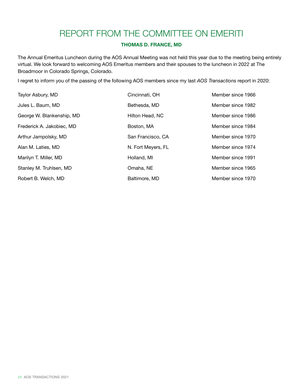### REPORT FROM THE COMMITTEE ON EMERITI

### THOMAS D. FRANCE, MD

<span id="page-23-0"></span>The Annual Emeritus Luncheon during the AOS Annual Meeting was not held this year due to the meeting being entirely virtual. We look forward to welcoming AOS Emeritus members and their spouses to the luncheon in 2022 at The Broadmoor in Colorado Springs, Colorado.

I regret to inform you of the passing of the following AOS members since my last *AOS Transactions* report in 2020:

| Taylor Asbury, MD         | Cincinnati, OH     | Member since 1966 |
|---------------------------|--------------------|-------------------|
| Jules L. Baum, MD         | Bethesda, MD       | Member since 1982 |
| George W. Blankenship, MD | Hilton Head, NC    | Member since 1986 |
| Frederick A. Jakobiec, MD | Boston, MA         | Member since 1984 |
| Arthur Jampolsky, MD      | San Francisco, CA  | Member since 1970 |
| Alan M. Laties, MD        | N. Fort Meyers, FL | Member since 1974 |
| Marilyn T. Miller, MD     | Holland, MI        | Member since 1991 |
| Stanley M. Truhlsen, MD   | Omaha, NE          | Member since 1965 |
| Robert B. Welch, MD       | Baltimore, MD      | Member since 1970 |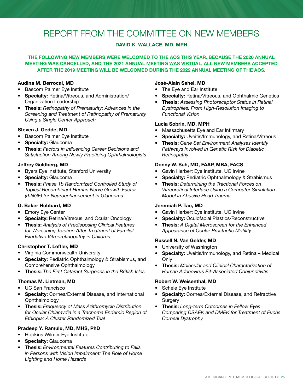### <span id="page-24-0"></span>REPORT FROM THE COMMITTEE ON NEW MEMBERS

### DAVID K. WALLACE, MD, MPH

### THE FOLLOWING NEW MEMBERS WERE WELCOMED TO THE AOS THIS YEAR. BECAUSE THE 2020 ANNUAL MEETING WAS CANCELLED, AND THE 2021 ANNUAL MEETING WAS VIRTUAL, ALL NEW MEMBERS ACCEPTED AFTER THE 2019 MEETING WILL BE WELCOMED DURING THE 2022 ANNUAL MEETING OF THE AOS.

### Audina M. Berrocal, MD

- Bascom Palmer Eye Institute
- Specialty: Retina/Vitreous, and Administration/ Organization Leadership
- Thesis: *Retinopathy of Prematurity: Advances in the Screening and Treatment of Retinopathy of Prematurity Using a Single Center Approach*

### Steven J. Gedde, MD

- Bascom Palmer Eye Institute
- Specialty: Glaucoma
- Thesis: *Factors in Influencing Career Decisions and Satisfaction Among Newly Practicing Ophthalmologists*

### Jeffrey Goldberg, MD

- Byers Eye Institute, Stanford University
- Specialty: Glaucoma
- Thesis: *Phase 1b Randomized Controlled Study of Topical Recombinant Human Nerve Growth Factor (rhNGF) for Neuroenhancement in Glaucoma*

### G. Baker Hubbard, MD

- Emory Eye Center
- Specialty: Retina/Vitreous, and Ocular Oncology
- Thesis: *Analysis of Predisposing Clinical Features for Worsening Traction After Treatment of Familial Exudative Vitreoretinopathy in Children*

### Christopher T. Leffler, MD

- Virginia Commonwealth University
- **Specialty: Pediatric Ophthalmology & Strabismus, and** Comprehensive Ophthalmology
- Thesis: *The First Cataract Surgeons in the British Isles*

### Thomas M. Lietman, MD

- UC San Francisco
- Specialty: Cornea/External Disease, and International **Ophthalmology**
- Thesis: *Frequency of Mass Azithromycin Distribution for Ocular Chlamydia in a Trachoma Endemic Region of Ethiopia: A Cluster Randomized Trial*

### Pradeep Y. Ramulu, MD, MHS, PhD

- Hopkins Wilmer Eye Institute
- Specialty: Glaucoma
- Thesis: *Environmental Features Contributing to Falls in Persons with Vision Impairment: The Role of Home Lighting and Home Hazards*

#### José-Alain Sahel, MD

- The Eye and Ear Institute
- Specialty: Retina/Vitreous, and Ophthalmic Genetics
- Thesis: *Assessing Photoreceptor Status in Retinal Dystrophies: From High-Resolution Imaging to Functional Vision*

### Lucia Sobrin, MD, MPH

- Massachusetts Eye and Ear Infirmary
- Specialty: Uveitis/Immunology, and Retina/Vitreous
- Thesis: *Gene Set Environment Analyses Identify Pathways Involved in Genetic Risk for Diabetic Retinopathy*

### Donny W. Suh, MD, FAAP, MBA, FACS

- Gavin Herbert Eye Institute, UC Irvine
- **Specialty: Pediatric Ophthalmology & Strabismus**
- Thesis: *Determining the Tractional Forces on Vitreoretinal Interface Using a Computer Simulation Model in Abusive Head Trauma*

### Jeremiah P. Tao, MD

- Gavin Herbert Eye Institute, UC Irvine
- Specialty: Oculofacial Plastics/Reconstructive
- Thesis: *A Digital Microscreen for the Enhanced Appearance of Ocular Prosthetic Motility*

### Russell N. Van Gelder, MD

- University of Washington
- Specialty: Uveitis/Immunology, and Retina Medical **Only**
- Thesis: *Molecular and Clinical Characterization of Human Adenovirus E4-Associated Conjunctivitis*

### Robert W. Weisenthal, MD

- Scheie Eye Institute
- Specialty: Cornea/External Disease, and Refractive **Surgery**
- Thesis: *Long-term Outcomes in Fellow Eyes Comparing DSAEK and DMEK for Treatment of Fuchs Corneal Dystrophy*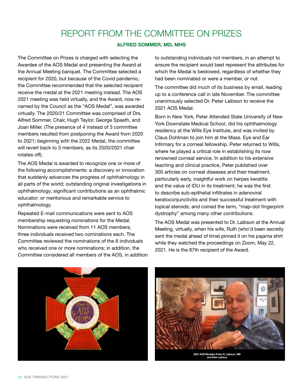### REPORT FROM THE COMMITTEE ON PRIZES

### ALFRED SOMMER, MD, MHS

<span id="page-25-0"></span>The Committee on Prizes is charged with selecting the Awardee of the AOS Medal and presenting the Award at the Annual Meeting banquet. The Committee selected a recipient for 2020, but because of the Covid pandemic, the Committee recommended that the selected recipient receive the medal at the 2021 meeting instead. The AOS 2021 meeting was held virtually, and the Award, now renamed by the Council as the "AOS Medal", was awarded virtually. The 2020/21 Committee was comprised of Drs. Alfred Sommer, Chair, Hugh Taylor, George Spaeth, and Joan Miller. (The presence of 4 instead of 3 committee members resulted from postponing the Award from 2020 to 2021; beginning with the 2022 Medal, the committee will revert back to 3 members, as its 2020/2021 chair rotates off).

The AOS Medal is awarded to recognize one or more of the following accomplishments: a discovery or innovation that suddenly advances the progress of ophthalmology in all parts of the world; outstanding original investigations in ophthalmology; significant contributions as an ophthalmic educator; or meritorious and remarkable service to ophthalmology.

Repeated E-mail communications were sent to AOS membership requesting nominations for the Medal. Nominations were received from 11 AOS members; three individuals received two nominations each. The Committee reviewed the nominations of the 8 individuals who received one or more nominations; in addition, the Committee considered all members of the AOS, in addition to outstanding individuals not members, in an attempt to ensure the recipient would best represent the attributes for which the Medal is bestowed, regardless of whether they had been nominated or were a member, or not.

The committee did much of its business by email, leading up to a conference call in late November. The committee unanimously selected Dr. Peter Laibson to receive the 2021 AOS Medal.

Born in New York, Peter Attended State University of New York Downstate Medical School, did his ophthalmology residency at the Wills Eye Institute, and was invited by Claus Dohlman to join him at the Mass. Eye and Ear Infirmary for a corneal fellowship. Peter returned to Wills, where he played a critical role in establishing its now renowned corneal service. In addition to his extensive teaching and clinical practice, Peter published over 300 articles on corneal diseases and their treatment, particularly early, insightful work on herpes keratitis and the value of IDU in its treatment; he was the first to describe sub-epithelial infiltrates in adenoviral keratoconjunctivitis and their successful treatment with topical steroids; and coined the term, "map-dot fingerprint dystrophy" among many other contributions.

The AOS Medal was presented to Dr. Laibson at the Annual Meeting, virtually, when his wife, Ruth (who'd been secretly sent the medal ahead of time) pinned it on his pajama shirt while they watched the proceedings on Zoom, May 22, 2021. He is the 87th recipient of the Award.





Medalist Peter R. Laib<br>and Ruth Laibson 2021 AOS M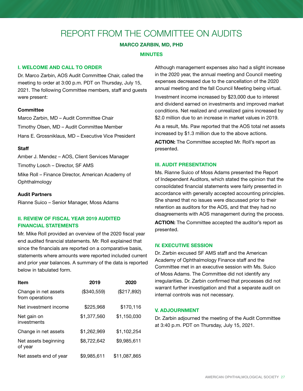### <span id="page-26-0"></span>REPORT FROM THE COMMITTEE ON AUDITS

### MARCO ZARBIN, MD, PHD

### MINUTES

### I. WELCOME AND CALL TO ORDER

Dr. Marco Zarbin, AOS Audit Committee Chair, called the meeting to order at 3:00 p.m. PDT on Thursday, July 15, 2021. The following Committee members, staff and guests were present:

### **Committee**

Marco Zarbin, MD – Audit Committee Chair Timothy Olsen, MD – Audit Committee Member Hans E. Grossniklaus, MD – Executive Vice President

### **Staff**

Amber J. Mendez – AOS, Client Services Manager Timothy Losch – Director, SF AMS Mike Roll – Finance Director, American Academy of

**Ophthalmology** 

### Audit Partners

Rianne Suico – Senior Manager, Moss Adams

### II. REVIEW OF FISCAL YEAR 2019 AUDITED FINANCIAL STATEMENTS

Mr. Mike Roll provided an overview of the 2020 fiscal year end audited financial statements. Mr. Roll explained that since the financials are reported on a comparative basis, statements where amounts were reported included current and prior year balances. A summary of the data is reported below in tabulated form.

| Item                                    | 2019        | 2020         |
|-----------------------------------------|-------------|--------------|
| Change in net assets<br>from operations | (\$340,559) | (\$217,892)  |
| Net investment income                   | \$225,968   | \$170,116    |
| Net gain on<br>investments              | \$1,377,560 | \$1,150,030  |
| Change in net assets                    | \$1,262,969 | \$1,102,254  |
| Net assets beginning<br>of year         | \$8,722,642 | \$9,985,611  |
| Net assets end of year                  | \$9,985,611 | \$11,087,865 |

Although management expenses also had a slight increase in the 2020 year, the annual meeting and Council meeting expenses decreased due to the cancellation of the 2020 annual meeting and the fall Council Meeting being virtual.

Investment income increased by \$23,000 due to interest and dividend earned on investments and improved market conditions. Net realized and unrealized gains increased by \$2.0 million due to an increase in market values in 2019.

As a result, Ms. Paw reported that the AOS total net assets increased by \$1.3 million due to the above actions.

ACTION: The Committee accepted Mr. Roll's report as presented.

### III. AUDIT PRESENTATION

Ms. Rianne Suico of Moss Adams presented the Report of Independent Auditors, which stated the opinion that the consolidated financial statements were fairly presented in accordance with generally accepted accounting principles. She shared that no issues were discussed prior to their retention as auditors for the AOS, and that they had no disagreements with AOS management during the process.

ACTION: The Committee accepted the auditor's report as presented.

### IV. EXECUTIVE SESSION

Dr. Zarbin excused SF AMS staff and the American Academy of Ophthalmology Finance staff and the Committee met in an executive session with Ms. Suico of Moss Adams. The Committee did not identify any irregularities. Dr. Zarbin confirmed that processes did not warrant further investigation and that a separate audit on internal controls was not necessary.

### V. ADJOURNMENT

Dr. Zarbin adjourned the meeting of the Audit Committee at 3:40 p.m. PDT on Thursday, July 15, 2021.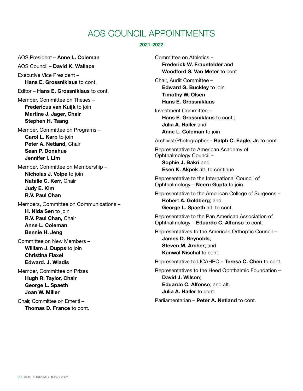### AOS COUNCIL APPOINTMENTS

### 2021-2022

<span id="page-27-0"></span>AOS President – Anne L. Coleman AOS Council – David K. Wallace Executive Vice President – Hans E. Grossniklaus to cont. Editor – Hans E. Grossniklaus to cont. Member, Committee on Theses – Fredericus van Kuijk to join Martine J. Jager, Chair Stephen H. Tsang Member, Committee on Programs – Carol L. Karp to join Peter A. Netland, Chair Sean P. Donahue Jennifer I. Lim Member, Committee on Membership – Nicholas J. Volpe to join Natalie C. Kerr, Chair Judy E. Kim R.V. Paul Chan Members, Committee on Communications – H. Nida Sen to join R.V. Paul Chan, Chair Anne L. Coleman Bennie H. Jeng Committee on New Members – William **J. Dupps** to join Christina Flaxel Edward. J. Wladis Member, Committee on Prizes Hugh R. Taylor, Chair George L. Spaeth Joan W. Miller Chair, Committee on Emeriti – Thomas D. France to cont.

Committee on Athletics – Frederick W. Fraunfelder and Woodford S. Van Meter to cont Chair, Audit Committee – Edward G. Buckley to join Timothy W. Olsen Hans E. Grossniklaus Investment Committee – Hans E. Grossniklaus to cont.; Julia A. Haller and Anne L. Coleman to join Archivist/Photographer – Ralph C. Eagle, Jr. to cont. Representative to American Academy of Ophthalmology Council – Sophie J. Bakri and Esen K. Akpek alt. to continue Representative to the International Council of Ophthalmology – Neeru Gupta to join Representative to the American College of Surgeons – Robert A. Goldberg; and George L. Spaeth alt. to cont. Representative to the Pan American Association of Ophthalmology – Eduardo C. Alfonso to cont. Representatives to the American Orthoptic Council – James D. Reynolds; Steven M. Archer: and Kanwal Nischal to cont. Representative to IJCAHPO – Teresa C. Chen to cont. Representatives to the Heed Ophthalmic Foundation – David J. Wilson; Eduardo C. Alfonso; and alt. Julia A. Haller to cont. Parliamentarian – Peter A. Netland to cont.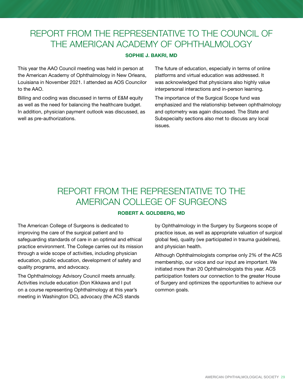### <span id="page-28-0"></span>REPORT FROM THE REPRESENTATIVE TO THE COUNCIL OF THE AMERICAN ACADEMY OF OPHTHALMOLOGY

### SOPHIE J. BAKRI, MD

This year the AAO Council meeting was held in person at the American Academy of Ophthalmology in New Orleans, Louisiana in November 2021. I attended as AOS Councilor to the AAO.

Billing and coding was discussed in terms of E&M equity as well as the need for balancing the healthcare budget. In addition, physician payment outlook was discussed, as well as pre-authorizations.

The future of education, especially in terms of online platforms and virtual education was addressed. It was acknowledged that physicians also highly value interpersonal interactions and in-person learning.

The importance of the Surgical Scope fund was emphasized and the relationship between ophthalmology and optometry was again discussed. The State and Subspecialty sections also met to discuss any local issues.

### REPORT FROM THE REPRESENTATIVE TO THE AMERICAN COLLEGE OF SURGEONS

### ROBERT A. GOLDBERG, MD

The American College of Surgeons is dedicated to improving the care of the surgical patient and to safeguarding standards of care in an optimal and ethical practice environment. The College carries out its mission through a wide scope of activities, including physician education, public education, development of safety and quality programs, and advocacy.

The Ophthalmology Advisory Council meets annually. Activities include education (Don Kikkawa and I put on a course representing Ophthalmology at this year's meeting in Washington DC), advocacy (the ACS stands by Ophthalmology in the Surgery by Surgeons scope of practice issue, as well as appropriate valuation of surgical global fee), quality (we participated in trauma guidelines), and physician health.

Although Ophthalmologists comprise only 2% of the ACS membership, our voice and our input are important. We initiated more than 20 Ophthalmologists this year. ACS participation fosters our connection to the greater House of Surgery and optimizes the opportunities to achieve our common goals.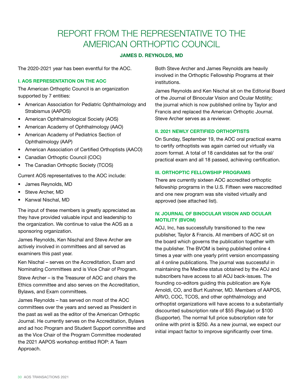### <span id="page-29-0"></span>REPORT FROM THE REPRESENTATIVE TO THE AMERICAN ORTHOPTIC COUNCIL

### JAMES D. REYNOLDS, MD

The 2020-2021 year has been eventful for the AOC.

### I. AOS REPRESENTATION ON THE AOC

The American Orthoptic Council is an organization supported by 7 entities:

- American Association for Pediatric Ophthalmology and Strabismus (AAPOS)
- American Ophthalmological Society (AOS)
- American Academy of Ophthalmology (AAO)
- American Academy of Pediatrics Section of Ophthalmology (AAP)
- American Association of Certified Orthoptists (AACO)
- Canadian Orthoptic Council (COC)
- The Canadian Orthoptic Society (TCOS)

Current AOS representatives to the AOC include:

- James Reynolds, MD
- Steve Archer, MD
- Kanwal Nischal, MD

The input of these members is greatly appreciated as they have provided valuable input and leadership to the organization. We continue to value the AOS as a sponsoring organization.

James Reynolds, Ken Nischal and Steve Archer are actively involved in committees and all served as examiners this past year.

Ken Nischal – serves on the Accreditation, Exam and Nominating Committees and is Vice Chair of Program.

Steve Archer – is the Treasurer of AOC and chairs the Ethics committee and also serves on the Accreditation, Bylaws, and Exam committees.

James Reynolds – has served on most of the AOC committees over the years and served as President in the past as well as the editor of the American Orthoptic Journal. He currently serves on the Accreditation, Bylaws and ad hoc Program and Student Support committee and as the Vice Chair of the Program Committee moderated the 2021 AAPOS workshop entitled ROP: A Team Approach.

Both Steve Archer and James Reynolds are heavily involved in the Orthoptic Fellowship Programs at their institutions.

James Reynolds and Ken Nischal sit on the Editorial Board of the Journal of Binocular Vision and Ocular Motility; the journal which is now published online by Taylor and Francis and replaced the American Orthoptic Journal. Steve Archer serves as a reviewer.

### II. 2021 NEWLY CERTIFIED ORTHOPTISTS

On Sunday, September 19, the AOC oral practical exams to certify orthoptists was again carried out virtually via zoom format. A total of 18 candidates sat for the oral/ practical exam and all 18 passed, achieving certification.

### III. ORTHOPTIC FELLOWSHIP PROGRAMS

There are currently sixteen AOC accredited orthoptic fellowship programs in the U.S. Fifteen were reaccredited and one new program was site visited virtually and approved (see attached list).

### IV. JOURNAL OF BINOCULAR VISION AND OCULAR MOTILITY (BVOM)

AOJ, Inc, has successfully transitioned to the new publisher, Taylor & Francis. All members of AOC sit on the board which governs the publication together with the publisher. The BVOM is being published online 4 times a year with one yearly print version encompassing all 4 online publications. The journal was successful in maintaining the Medline status obtained by the AOJ and subscribers have access to all AOJ back-issues. The founding co-editors guiding this publication are Kyle Arnoldi, CO, and Burt Kushner, MD. Members of AAPOS, ARVO, COC, TCOS, and other ophthalmology and orthoptist organizations will have access to a substantially discounted subscription rate of \$55 (Regular) or \$100 (Supporter). The normal full price subscription rate for online with print is \$250. As a new journal, we expect our initial impact factor to improve significantly over time.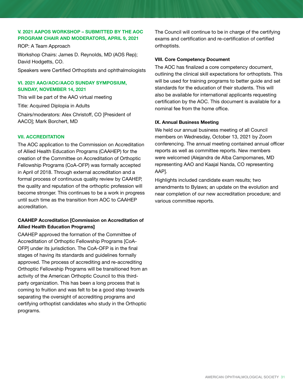### V. 2021 AAPOS WORKSHOP – SUBMITTED BY THE AOC PROGRAM CHAIR AND MODERATORS, APRIL 9, 2021

ROP: A Team Approach

Workshop Chairs: James D. Reynolds, MD (AOS Rep); David Hodgetts, CO.

Speakers were Certified Orthoptists and ophthalmologists

### VI. 2021 AAO/AOC/AACO SUNDAY SYMPOSIUM, SUNDAY, NOVEMBER 14, 2021

This will be part of the AAO virtual meeting

Title: Acquired Diplopia in Adults Chairs/moderators: Alex Christoff, CO [President of AACO]; Mark Borchert, MD

### VII. ACCREDITATION

The AOC application to the Commission on Accreditation of Allied Health Education Programs (CAAHEP) for the creation of the Committee on Accreditation of Orthoptic Fellowship Programs (CoA-OFP) was formally accepted in April of 2018. Through external accreditation and a formal process of continuous quality review by CAAHEP, the quality and reputation of the orthoptic profession will become stronger. This continues to be a work in progress until such time as the transition from AOC to CAAHEP accreditation.

### CAAHEP Accreditation [Commission on Accreditation of Allied Health Education Programs]

CAAHEP approved the formation of the Committee of Accreditation of Orthoptic Fellowship Programs [CoA-OFP] under its jurisdiction. The CoA-OFP is in the final stages of having its standards and guidelines formally approved. The process of accrediting and re-accrediting Orthoptic Fellowship Programs will be transitioned from an activity of the American Orthoptic Council to this thirdparty organization. This has been a long process that is coming to fruition and was felt to be a good step towards separating the oversight of accrediting programs and certifying orthoptist candidates who study in the Orthoptic programs.

The Council will continue to be in charge of the certifying exams and certification and re-certification of certified orthoptists.

### VIII. Core Competency Document

The AOC has finalized a core competency document, outlining the clinical skill expectations for orthoptists. This will be used for training programs to better guide and set standards for the education of their students. This will also be available for international applicants requesting certification by the AOC. This document is available for a nominal fee from the home office.

### IX. Annual Business Meeting

We held our annual business meeting of all Council members on Wednesday, October 13, 2021 by Zoom conferencing. The annual meeting contained annual officer reports as well as committee reports. New members were welcomed (Alejandra de Alba Campomanes, MD representing AAO and Kaajal Nanda, CO representing AAP].

Highlights included candidate exam results; two amendments to Bylaws; an update on the evolution and near completion of our new accreditation procedure; and various committee reports.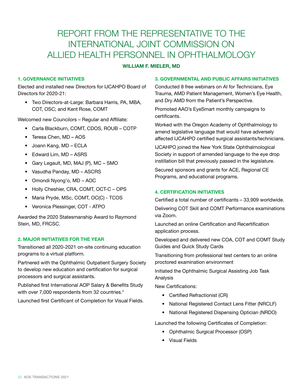### <span id="page-31-0"></span>REPORT FROM THE REPRESENTATIVE TO THE INTERNATIONAL JOINT COMMISSION ON ALLIED HEALTH PERSONNEL IN OPHTHALMOLOGY

### WILLIAM F. MIELER, MD

### 1. GOVERNANCE INITIATIVES

Elected and installed new Directors for IJCAHPO Board of Directors for 2020-21:

• Two Directors-at-Large: Barbara Harris, PA, MBA, COT, OSC; and Kent Rose, COMT

Welcomed new Councilors – Regular and Affiliate:

- Carla Blackburn, COMT, CDOS, ROUB COTP
- Teresa Chen, MD AOS
- Joann Kang, MD ECLA
- Edward Lim, MD ASRS
- Gary Legault, MD, MAJ (P), MC SMO
- Vasudha Panday, MD ASCRS
- Omondi Nyong'o, MD AOC
- Holly Cheshier, CRA, COMT, OCT-C OPS
- Maria Pryde, MSc, COMT, OC(C) TCOS
- Veronica Plessinger, COT ATPO

Awarded the 2020 Statesmanship Award to Raymond Stein, MD, FRCSC.

### 2. MAJOR INITIATIVES FOR THE YEAR

Transitioned all 2020-2021 on-site continuing education programs to a virtual platform.

Partnered with the Ophthalmic Outpatient Surgery Society to develop new education and certification for surgical processors and surgical assistants.

Published first International AOP Salary & Benefits Study with over 7,000 respondents from 32 countries.\*

Launched first Certificant of Completion for Visual Fields.

### 3. GOVERNMENTAL AND PUBLIC AFFAIRS INITIATIVES

Conducted 8 free webinars on AI for Technicians, Eye Trauma, AMD Patient Management, Women's Eye Health, and Dry AMD from the Patient's Perspective.

Promoted AAO's EyeSmart monthly campaigns to certificants.

Worked with the Oregon Academy of Ophthalmology to amend legislative language that would have adversely affected IJCAHPO certified surgical assistants/technicians.

IJCAHPO joined the New York State Ophthalmological Society in support of amended language to the eye drop instillation bill that previously passed in the legislature.

Secured sponsors and grants for ACE, Regional CE Programs, and educational programs.

### 4. CERTIFICATION INITIATIVES

Certified a total number of certificants – 33,909 worldwide.

Delivering COT Skill and COMT Performance examinations via Zoom.

Launched an online Certification and Recertification application process.

Developed and delivered new COA, COT and COMT Study Guides and Quick Study Cards

Transitioning from professional test centers to an online proctored examination environment

Initiated the Ophthalmic Surgical Assisting Job Task Analysis

New Certifications:

- Certified Refractionist (CR)
- National Registered Contact Lens Fitter (NRCLF)
- National Registered Dispensing Optician (NRDO)

Launched the following Certificates of Completion:

- Ophthalmic Surgical Processor (OSP)
- Visual Fields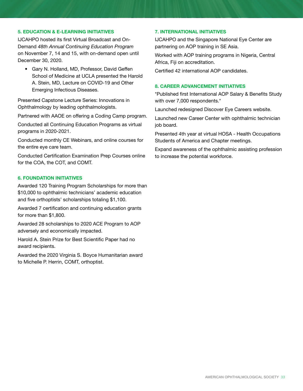### 5. EDUCATION & E-LEARNING INITIATIVES

IJCAHPO hosted its first Virtual Broadcast and On-Demand *48th Annual Continuing Education Program* on November 7, 14 and 15, with on-demand open until December 30, 2020.

• Gary N. Holland, MD, Professor, David Geffen School of Medicine at UCLA presented the Harold A. Stein, MD, Lecture on COVID-19 and Other Emerging Infectious Diseases.

Presented Capstone Lecture Series: Innovations in Ophthalmology by leading ophthalmologists.

Partnered with AAOE on offering a Coding Camp program.

Conducted all Continuing Education Programs as virtual programs in 2020-2021.

Conducted monthly CE Webinars, and online courses for the entire eye care team.

Conducted Certification Examination Prep Courses online for the COA, the COT, and COMT.

### 6. FOUNDATION INITIATIVES

Awarded 120 Training Program Scholarships for more than \$10,000 to ophthalmic technicians' academic education and five orthoptists' scholarships totaling \$1,100.

Awarded 7 certification and continuing education grants for more than \$1,800.

Awarded 28 scholarships to 2020 ACE Program to AOP adversely and economically impacted.

Harold A. Stein Prize for Best Scientific Paper had no award recipients.

Awarded the 2020 Virginia S. Boyce Humanitarian award to Michelle P. Herrin, COMT, orthoptist.

### 7. INTERNATIONAL INITIATIVES

IJCAHPO and the Singapore National Eye Center are partnering on AOP training in SE Asia.

Worked with AOP training programs in Nigeria, Central Africa, Fiji on accreditation.

Certified 42 international AOP candidates.

### 8. CAREER ADVANCEMENT INITIATIVES

\*Published first International AOP Salary & Benefits Study with over 7,000 respondents.\*

Launched redesigned Discover Eye Careers website.

Launched new Career Center with ophthalmic technician job board.

Presented 4th year at virtual HOSA - Health Occupations Students of America and Chapter meetings.

Expand awareness of the ophthalmic assisting profession to increase the potential workforce.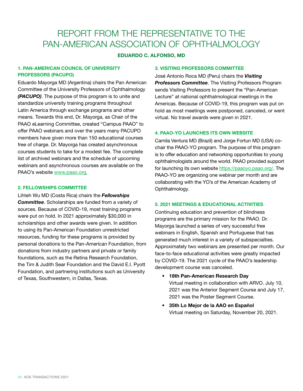### <span id="page-33-0"></span>REPORT FROM THE REPRESENTATIVE TO THE PAN-AMERICAN ASSOCIATION OF OPHTHALMOLOGY

### EDUARDO C. ALFONSO, MD

### 1. PAN-AMERICAN COUNCIL OF UNIVERSITY PROFESSORS (PACUPO)

Eduardo Mayorga MD (Argentina) chairs the Pan American Committee of the University Professors of Ophthalmology *(PACUPO)*. The purpose of this program is to unite and standardize university training programs throughout Latin America through exchange programs and other means. Towards this end, Dr. Mayorga, as Chair of the PAAO eLearning Committee, created "Campus PAAO" to offer PAAO webinars and over the years many PACUPO members have given more than 150 educational courses free of charge. Dr. Mayorga has created asynchronous courses students to take for a modest fee. The complete list of archived webinars and the schedule of upcoming webinars and asynchronous courses are available on the PAAO's website [www.paao.org.](https://na01.safelinks.protection.outlook.com/?url=http%3A%2F%2Fwww.paao.org%2F&data=02%7C01%7Cealfonso%40med.miami.edu%7C1f419b8b34e042615e7e08d563bffb45%7C2a144b72f23942d48c0e6f0f17c48e33%7C0%7C0%7C636524598595027871&sdata=C1F4ESAxLxHW%2BiM2AxHrj53rpS%2FkCTpAZFGtZTQAjh8%3D&reserved=0)

### 2. FELLOWSHIPS COMMITTEE

Lihteh Wu MD (Costa Rica) chairs the *Fellowships Committee*. Scholarships are funded from a variety of sources. Because of COVID-19, most training programs were put on hold. In 2021 approximately \$30,000 in scholarships and other awards were given. In addition to using its Pan-American Foundation unrestricted resources, funding for these programs is provided by personal donations to the Pan-American Foundation, from donations from industry partners and private or family foundations, such as the Retina Research Foundation, the Tim & Judith Sear Foundation and the David E.I. Pyott Foundation, and partnering institutions such as University of Texas, Southwestern, in Dallas, Texas.

### 3. VISITING PROFESSORS COMMITTEE

José Antonio Roca MD (Peru) chairs the *Visiting Professors Committee*. The Visiting Professors Program sends Visiting Professors to present the "Pan-American Lecture" at national ophthalmological meetings in the Americas. Because of COVID-19, this program was put on hold as most meetings were postponed, canceled, or went virtual. No travel awards were given in 2021.

### 4. PAAO-YO LAUNCHES ITS OWN WEBSITE

Camila Ventura MD (Brazil) and Jorge Fortun MD (USA) cochair the PAAO-YO program. The purpose of this program is to offer education and networking opportunities to young ophthalmologists around the world. PAAO provided support for launching its own website [https://paaoyo.paao.org/.](https://paaoyo.paao.org/) The PAAO-YO are organizing one webinar per month and are collaborating with the YO's of the American Academy of Ophthalmology.

### 5. 2021 MEETINGS & EDUCATIONAL ACTIVITIES

Continuing education and prevention of blindness programs are the primary mission for the PAAO. Dr. Mayorga launched a series of very successful free webinars in English, Spanish and Portuguese that has generated much interest in a variety of subspecialties. Approximately two webinars are presented per month. Our face-to-face educational activities were greatly impacted by COVID-19. The 2021 cycle of the PAAO's leadership development course was canceled.

- 18th Pan-American Research Day Virtual meeting in collaboration with ARVO. July 10, 2021 was the Anterior Segment Course and July 17, 2021 was the Poster Segment Course.
- 35th Lo Mejor de la AAO en Español Virtual meeting on Saturday, November 20, 2021.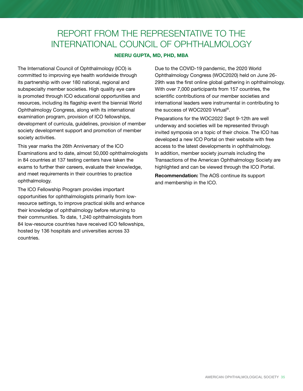### <span id="page-34-0"></span>REPORT FROM THE REPRESENTATIVE TO THE INTERNATIONAL COUNCIL OF OPHTHALMOLOGY

### NEERU GUPTA, MD, PHD, MBA

The International Council of Ophthalmology (ICO) is committed to improving eye health worldwide through its partnership with over 180 national, regional and subspecialty member societies. High quality eye care is promoted through ICO educational opportunities and resources, including its flagship event the biennial World Ophthalmology Congress, along with its international examination program, provision of ICO fellowships, development of curricula, guidelines, provision of member society development support and promotion of member society activities.

This year marks the 26th Anniversary of the ICO Examinations and to date, almost 50,000 ophthalmologists in 84 countries at 137 testing centers have taken the exams to further their careers, evaluate their knowledge, and meet requirements in their countries to practice ophthalmology.

The ICO Fellowship Program provides important opportunities for ophthalmologists primarily from lowresource settings, to improve practical skills and enhance their knowledge of ophthalmology before returning to their communities. To date, 1,240 ophthalmologists from 84 low-resource countries have received ICO fellowships, hosted by 136 hospitals and universities across 33 countries.

Due to the COVID-19 pandemic, the 2020 World Ophthalmology Congress (WOC2020) held on June 26- 29th was the first online global gathering in ophthalmology. With over 7,000 participants from 157 countries, the scientific contributions of our member societies and international leaders were instrumental in contributing to the success of WOC2020 Virtual®.

Preparations for the WOC2022 Sept 9-12th are well underway and societies will be represented through invited symposia on a topic of their choice. The ICO has developed a new ICO Portal on their website with free access to the latest developments in ophthalmology. In addition, member society journals including the Transactions of the American Ophthalmology Society are highlighted and can be viewed through the ICO Portal.

Recommendation: The AOS continue its support and membership in the ICO.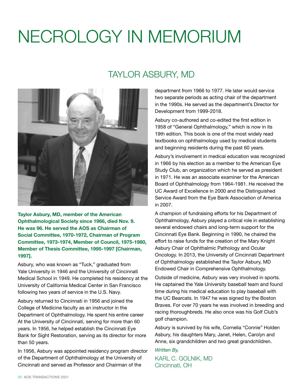## <span id="page-35-0"></span>NECROLOGY IN MEMORIUM

### TAYLOR ASBURY, MD



Taylor Asbury, MD, member of the American Ophthalmological Society since 1966, died Nov. 9. He was 96. He served the AOS as Chairman of Social Committee, 1970-1972, Chairman of Program Committee, 1973-1974, Member of Council, 1975-1980, Member of Thesis Committee, 1995-1997 [Chairman, 1997].

Asbury, who was known as "Tuck," graduated from Yale University in 1946 and the University of Cincinnati Medical School in 1949. He completed his residency at the University of California Medical Center in San Francisco following two years of service in the U.S. Navy.

Asbury returned to Cincinnati in 1956 and joined the College of Medicine faculty as an instructor in the Department of Ophthalmology. He spent his entire career At the University of Cincinnati, serving for more than 60 years. In 1956, he helped establish the Cincinnati Eye Bank for Sight Restoration, serving as its director for more than 50 years.

In 1956, Asbury was appointed residency program director of the Department of Ophthalmology at the University of Cincinnati and served as Professor and Chairman of the

department from 1966 to 1977. He later would service two separate periods as acting chair of the department in the 1990s. He served as the department's Director for Development from 1999-2018.

Asbury co-authored and co-edited the first edition in 1958 of "General Ophthalmology," which is now in its 19th edition. This book is one of the most widely read textbooks on ophthalmology used by medical students and beginning residents during the past 60 years.

Asbury's involvement in medical education was recognized in 1966 by his election as a member to the American Eye Study Club, an organization which he served as president in 1971. He was an associate examiner for the American Board of Ophthalmology from 1964-1981. He received the UC Award of Excellence in 2000 and the Distinguished Service Award from the Eye Bank Association of America in 2007.

A champion of fundraising efforts for his Department of Ophthalmology, Asbury played a critical role in establishing several endowed chairs and long-term support for the Cincinnati Eye Bank. Beginning in 1990, he chaired the effort to raise funds for the creation of the Mary Knight Asbury Chair of Ophthalmic Pathology and Ocular Oncology. In 2013, the University of Cincinnati Department of Ophthalmology established the Taylor Asbury, MD Endowed Chair in Comprehensive Ophthalmology.

Outside of medicine, Asbury was very involved in sports. He captained the Yale University baseball team and found time during his medical education to play baseball with the UC Bearcats. In 1947 he was signed by the Boston Braves. For over 70 years he was involved in breeding and racing thoroughbreds. He also once was his Golf Club's golf champion.

Asbury is survived by his wife, Cornelia "Connie" Holden Asbury, his daughters Mary, Janet, Helen, Carolyn and Anne, six grandchildren and two great grandchildren.

*Written By,* KARL C. GOLNIK, MD Cincinnati, OH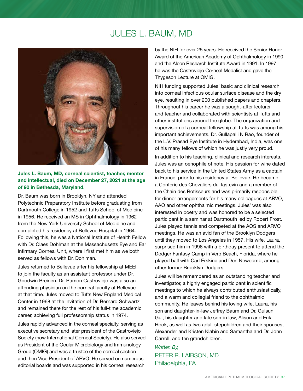### JULES L. BAUM, MD



Jules L. Baum, MD, corneal scientist, teacher, mentor and intellectual, died on December 27, 2021 at the age of 90 in Bethesda, Maryland.

Dr. Baum was born in Brooklyn, NY and attended Polytechnic Preparatory Institute before graduating from Dartmouth College in 1952 and Tufts School of Medicine in 1956. He received an MS in Ophthalmology in 1962 from the New York University School of Medicine and completed his residency at Bellevue Hospital in 1964. Following this, he was a National Institute of Health Fellow with Dr. Claes Dohlman at the Massachusetts Eye and Ear Infirmary Corneal Unit, where I first met him as we both served as fellows with Dr. Dohlman.

Jules returned to Bellevue after his fellowship at MEEI to join the faculty as an assistant professor under Dr. Goodwin Breinen. Dr. Ramon Castroviejo was also an attending physician on the corneal faculty at Bellevue at that time. Jules moved to Tufts New England Medical Center in 1968 at the invitation of Dr. Bernard Schwartz and remained there for the rest of his full-time academic career, achieving full professorship status in 1974.

Jules rapidly advanced in the corneal specialty, serving as executive secretary and later president of the Castroviejo Society (now International Corneal Society). He also served as President of the Ocular Microbiology and Immunology Group (OMIG) and was a trustee of the corneal section and then Vice President of ARVO. He served on numerous editorial boards and was supported in his corneal research

by the NIH for over 25 years. He received the Senior Honor Award of the American Academy of Ophthalmology in 1990 and the Alcon Research Institute Award in 1991. In 1997 he was the Castroviejo Corneal Medalist and gave the Thygeson Lecture at OMIG.

NIH funding supported Jules' basic and clinical research into corneal infectious ocular surface disease and the dry eye, resulting in over 200 published papers and chapters. Throughout his career he was a sought-after lecturer and teacher and collaborated with scientists at Tufts and other institutions around the globe. The organization and supervision of a corneal fellowship at Tufts was among his important achievements. Dr. Gullapalli N Rao, founder of the L.V. Prasad Eye Institute in Hyderabad, India, was one of his many fellows of which he was justly very proud.

In addition to his teaching, clinical and research interests, Jules was an oenophile of note. His passion for wine dated back to his service in the United States Army as a captain in France, prior to his residency at Bellevue. He became a Conferie des Chevaliers du Tastevin and a member of the Chain des Rotisseurs and was primarily responsible for dinner arrangements for his many colleagues at ARVO, AAO and other ophthalmic meetings. Jules' was also interested in poetry and was honored to be a selected participant in a seminar at Dartmouth led by Robert Frost. Jules played tennis and competed at the AOS and ARVO meetings. He was an avid fan of the Brooklyn Dodgers until they moved to Los Angeles in 1957. His wife, Laura, surprised him in 1996 with a birthday present to attend the Dodger Fantasy Camp in Vero Beach, Florida, where he played ball with Carl Erskine and Don Newcomb, among other former Brooklyn Dodgers.

Jules will be remembered as an outstanding teacher and investigator, a highly engaged participant in scientific meetings to which he always contributed enthusiastically, and a warm and collegial friend to the ophthalmic community. He leaves behind his loving wife, Laura, his son and daughter-in-law Jeffrey Baum and Dr. Gulsun Gul, his daughter and late son-in law, Alison and Erik Hook, as well as two adult stepchildren and their spouses, Alexander and Kristen Klabin and Samantha and Dr. John Carroll, and ten grandchildren.

### *Written By,* PETER R. LAIBSON, MD Philadelphia, PA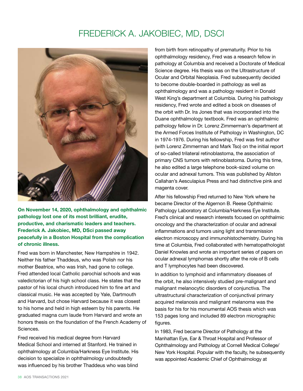### FREDERICK A. JAKOBIEC, MD, DSCI



On November 14, 2020, ophthalmology and ophthalmic pathology lost one of its most brilliant, erudite, productive, and charismatic leaders and teachers. Frederick A. Jakobiec, MD, DSci passed away peacefully in a Boston Hospital from the complication of chronic illness.

Fred was born in Manchester, New Hampshire in 1942. Neither his father Thaddeus, who was Polish nor his mother Beatrice, who was Irish, had gone to college. Fred attended local Catholic parochial schools and was valedictorian of his high school class. He states that the pastor of his local church introduced him to fine art and classical music. He was accepted by Yale, Dartmouth and Harvard, but chose Harvard because it was closest to his home and held in high esteem by his parents. He graduated magna cum laude from Harvard and wrote an honors thesis on the foundation of the French Academy of Sciences.

Fred received his medical degree from Harvard Medical School and interned at Stanford. He trained in ophthalmology at Columbia/Harkness Eye Institute. His decision to specialize in ophthalmology undoubtedly was influenced by his brother Thaddeus who was blind

from birth from retinopathy of prematurity. Prior to his ophthalmology residency, Fred was a research fellow in pathology at Columbia and received a Doctorate of Medical Science degree. His thesis was on the Ultrastructure of Ocular and Orbital Neoplasia. Fred subsequently decided to become double-boarded in pathology as well as ophthalmology and was a pathology resident in Donald West King's department at Columbia. During his pathology residency, Fred wrote and edited a book on diseases of the orbit with Dr. Ira Jones that was incorporated into the Duane ophthalmology textbook. Fred was an ophthalmic pathology fellow in Dr. Lorenz Zimmerman's department at the Armed Forces Institute of Pathology in Washington, DC in 1974-1976. During his fellowship, Fred was first author (with Lorenz Zimmerman and Mark Tso) on the initial report of so-called trilateral retinoblastoma, the association of primary CNS tumors with retinoblastoma. During this time, he also edited a large telephone book-sized volume on ocular and adnexal tumors. This was published by Allston Callahan's Aesculapius Press and had distinctive pink and magenta cover.

After his fellowship Fred returned to New York where he became Director of the Algernon B. Reese Ophthalmic Pathology Laboratory at Columbia/Harkness Eye Institute. Fred's clinical and research interests focused on ophthalmic oncology and the characterization of ocular and adnexal inflammations and tumors using light and transmission electron microscopy and immunohistochemistry. During his time at Columbia, Fred collaborated with hematopathologist Daniel Knowles and wrote an important series of papers on ocular adnexal lymphomas shortly after the role of B cells and T lymphocytes had been discovered.

In addition to lymphoid and inflammatory diseases of the orbit, he also intensively studied pre-malignant and malignant melanocytic disorders of conjunctiva. The ultrastructural characterization of conjunctival primary acquired melanosis and malignant melanoma was the basis for his for his monumental AOS thesis which was 153 pages long and included 89 electron micrographic figures.

In 1983, Fred became Director of Pathology at the Manhattan Eye, Ear & Throat Hospital and Professor of Ophthalmology and Pathology at Cornell Medical College/ New York Hospital. Popular with the faculty, he subsequently was appointed Academic Chief of Ophthalmology at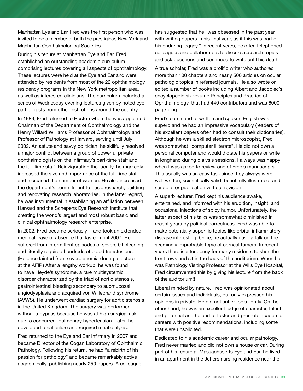Manhattan Eye and Ear. Fred was the first person who was invited to be a member of both the prestigious New York and Manhattan Ophthalmological Societies.

During his tenure at Manhattan Eye and Ear, Fred established an outstanding academic curriculum comprising lectures covering all aspects of ophthalmology. These lectures were held at the Eye and Ear and were attended by residents from most of the 22 ophthalmology residency programs in the New York metropolitan area, as well as interested clinicians. The curriculum included a series of Wednesday evening lectures given by noted eye pathologists from other institutions around the country.

In 1989, Fred returned to Boston where he was appointed Chairman of the Department of Ophthalmology and the Henry Willard Williams Professor of Ophthalmology and Professor of Pathology at Harvard, serving until July 2002. An astute and savvy politician, he skillfully resolved a major conflict between a group of powerful private ophthalmologists on the Infirmary's part-time staff and the full-time staff. Reinvigorating the faculty, he markedly increased the size and importance of the full-time staff and increased the number of women. He also increased the department's commitment to basic research, building and renovating research laboratories. In the latter regard, he was instrumental in establishing an affiliation between Harvard and the Schepens Eye Research Institute that creating the world's largest and most robust basic and clinical ophthalmology research enterprise.

In 2002, Fred became seriously ill and took an extended medical leave of absence that lasted until 2007. He suffered from intermittent episodes of severe GI bleeding and literally required hundreds of blood transfusions. (He once fainted from severe anemia during a lecture at the AFIP.) After a lengthy workup, he was found to have Heyde's syndrome, a rare multisystemic disorder characterized by the triad of aortic stenosis, gastrointestinal bleeding secondary to submucosal angiodysplasia and acquired von Willebrand syndrome (AVWS). He underwent cardiac surgery for aortic stenosis in the United Kingdom. The surgery was performed without a bypass because he was at high surgical risk due to concurrent pulmonary hypertension. Later, he developed renal failure and required renal dialysis.

Fred returned to the Eye and Ear Infirmary in 2007 and became Director of the Cogan Laboratory of Ophthalmic Pathology. Following his return, he had "a rebirth of his passion for pathology" and became remarkably active academically, publishing nearly 250 papers. A colleague

has suggested that he "was obsessed in the past year with writing papers in his final year, as if this was part of his enduring legacy." In recent years, he often telephoned colleagues and collaborators to discuss research topics and ask questions and continued to write until his death.

A true scholar, Fred was a prolific writer who authored more than 100 chapters and nearly 500 articles on ocular pathologic topics in refereed journals. He also wrote or edited a number of books including Albert and Jacobiec's encyclopedic six volume Principles and Practice of Ophthalmology, that had 440 contributors and was 6000 page long.

Fred's command of written and spoken English was superb and he had an impressive vocabulary (readers of his excellent papers often had to consult their dictionaries). Although he was a skilled electron microscopist, Fred was somewhat "computer illiterate". He did not own a personal computer and would dictate his papers or write in longhand during dialysis sessions. I always was happy when I was asked to review one of Fred's manuscripts. This usually was an easy task since they always were well written, scientifically valid, beautifully illustrated, and suitable for publication without revision.

A superb lecturer, Fred kept his audience awake, entertained, and informed with his erudition, insight, and occasional injections of spicy humor. Unfortunately, the latter aspect of his talks was somewhat diminished in recent years by political correctness. Fred was able to make potentially soporific topics like orbital inflammatory disease interesting. Once, he actually gave a talk on the seemingly improbable topic of corneal tumors. In recent years there is a tendency for many residents to shun the front rows and sit in the back of the auditorium. When he was Pathology Visiting Professor at the Wills Eye Hospital, Fred circumvented this by giving his lecture from the back of the auditorium!!

Liberal minded by nature, Fred was opinionated about certain issues and individuals, but only expressed his opinions in private. He did not suffer fools lightly. On the other hand, he was an excellent judge of character, talent and potential and helped to foster and promote academic careers with positive recommendations, including some that were unsolicited.

Dedicated to his academic career and ocular pathology, Fred never married and did not own a house or car. During part of his tenure at Massachusetts Eye and Ear, he lived in an apartment in the Jeffers nursing residence near the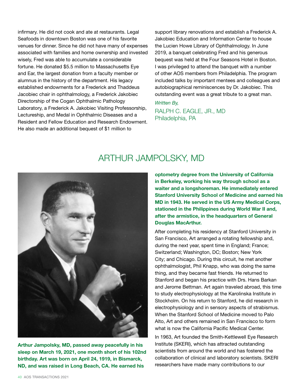infirmary. He did not cook and ate at restaurants. Legal Seafoods in downtown Boston was one of his favorite venues for dinner. Since he did not have many of expenses associated with families and home ownership and invested wisely, Fred was able to accumulate a considerable fortune. He donated \$5.5 million to Massachusetts Eye and Ear, the largest donation from a faculty member or alumnus in the history of the department. His legacy established endowments for a Frederick and Thaddeus Jacobiec chair in ophthalmology, a Frederick Jakobiec Directorship of the Cogan Ophthalmic Pathology Laboratory, a Frederick A. Jakobiec Visiting Professorship, Lectureship, and Medal in Ophthalmic Diseases and a Resident and Fellow Education and Research Endowment. He also made an additional bequest of \$1 million to

support library renovations and establish a Frederick A. Jakobiec Education and Information Center to house the Lucien Howe Library of Ophthalmology. In June 2019, a banquet celebrating Fred and his generous bequest was held at the Four Seasons Hotel in Boston. I was privileged to attend the banquet with a number of other AOS members from Philadelphia. The program included talks by important mentees and colleagues and autobiographical reminiscences by Dr. Jakobiec. This outstanding event was a great tribute to a great man.

### *Written By,*

RALPH C. EAGLE, JR., MD Philadelphia, PA

### ARTHUR JAMPOLSKY, MD



Arthur Jampolsky, MD, passed away peacefully in his sleep on March 19, 2021, one month short of his 102nd birthday. Art was born on April 24, 1919, in Bismarck, ND, and was raised in Long Beach, CA. He earned his

optometry degree from the University of California in Berkeley, working his way through school as a waiter and a longshoreman. He immediately entered Stanford University School of Medicine and earned his MD in 1943. He served in the US Army Medical Corps, stationed in the Philippines during World War II and, after the armistice, in the headquarters of General Douglas MacArthur.

After completing his residency at Stanford University in San Francisco, Art arranged a rotating fellowship and, during the next year, spent time in England; France; Switzerland; Washington, DC; Boston; New York City; and Chicago. During this circuit, he met another ophthalmologist, Phil Knapp, who was doing the same thing, and they became fast friends. He returned to Stanford and began his practice with Drs. Hans Barkan and Jerome Bettman. Art again traveled abroad, this time to study electrophysiology at the Karolinska Institute in Stockholm. On his return to Stanford, he did research in electrophysiology and in sensory aspects of strabismus. When the Stanford School of Medicine moved to Palo Alto, Art and others remained in San Francisco to form what is now the California Pacific Medical Center.

In 1963, Art founded the Smith-Kettlewell Eye Research Institute (SKERI), which has attracted outstanding scientists from around the world and has fostered the collaboration of clinical and laboratory scientists. SKERI researchers have made many contributions to our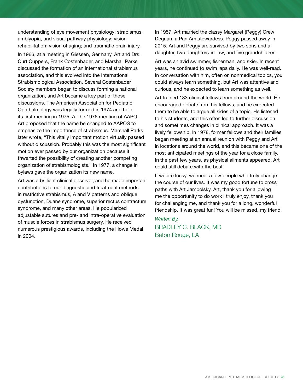understanding of eye movement physiology; strabismus, amblyopia, and visual pathway physiology; vision rehabilitation; vision of aging; and traumatic brain injury.

In 1966, at a meeting in Giessen, Germany, Art and Drs. Curt Cuppers, Frank Costenbader, and Marshall Parks discussed the formation of an international strabismus association, and this evolved into the International Strabismological Association. Several Costenbader Society members began to discuss forming a national organization, and Art became a key part of those discussions. The American Association for Pediatric Ophthalmology was legally formed in 1974 and held its first meeting in 1975. At the 1976 meeting of AAPO, Art proposed that the name be changed to AAPOS to emphasize the importance of strabismus. Marshall Parks later wrote, "This vitally important motion virtually passed without discussion. Probably this was the most significant motion ever passed by our organization because it thwarted the possibility of creating another competing organization of strabismologists." In 1977, a change in bylaws gave the organization its new name.

Art was a brilliant clinical observer, and he made important contributions to our diagnostic and treatment methods in restrictive strabismus, A and V patterns and oblique dysfunction, Duane syndrome, superior rectus contracture syndrome, and many other areas. He popularized adjustable sutures and pre- and intra-operative evaluation of muscle forces in strabismus surgery. He received numerous prestigious awards, including the Howe Medal in 2004.

In 1957, Art married the classy Margaret (Peggy) Crew Degnan, a Pan Am stewardess. Peggy passed away in 2015. Art and Peggy are survived by two sons and a daughter, two daughters-in-law, and five grandchildren.

Art was an avid swimmer, fisherman, and skier. In recent years, he continued to swim laps daily. He was well-read. In conversation with him, often on nonmedical topics, you could always learn something, but Art was attentive and curious, and he expected to learn something as well.

Art trained 183 clinical fellows from around the world. He encouraged debate from his fellows, and he expected them to be able to argue all sides of a topic. He listened to his students, and this often led to further discussion and sometimes changes in clinical approach. It was a lively fellowship. In 1978, former fellows and their families began meeting at an annual reunion with Peggy and Art in locations around the world, and this became one of the most anticipated meetings of the year for a close family. In the past few years, as physical ailments appeared, Art could still debate with the best.

If we are lucky, we meet a few people who truly change the course of our lives. It was my good fortune to cross paths with Art Jampolsky. Art, thank you for allowing me the opportunity to do work I truly enjoy, thank you for challenging me, and thank you for a long, wonderful friendship. It was great fun! You will be missed, my friend.

*Written By,* BRADLEY C. BLACK, MD Baton Rouge, LA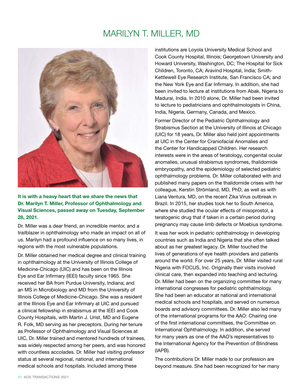### MARILYN T. MILLER, MD



### It is with a heavy heart that we share the news that Dr. Marilyn T. Miller, Professor of Ophthalmology and Visual Sciences, passed away on Tuesday, September 28, 2021.

Dr. Miller was a dear friend, an incredible mentor, and a trailblazer in ophthalmology who made an impact on all of us. Marilyn had a profound influence on so many lives, in regions with the most vulnerable populations.

Dr. Miller obtained her medical degree and clinical training in ophthalmology at the University of Illinois College of Medicine-Chicago (UIC) and has been on the Illinois Eye and Ear Infirmary (IEEI) faculty since 1965. She received her BA from Purdue University, Indiana; and an MS in Microbiology and MD from the University of Illinois College of Medicine-Chicago. She was a resident at the Illinois Eye and Ear Infirmary at UIC and pursued a clinical fellowship in strabismus at the IEEI and Cook County Hospitals, with Martin J. Urist, MD and Eugene R. Folk, MD serving as her preceptors. During her tenure as Professor of Ophthalmology and Visual Sciences at UIC, Dr. Miller trained and mentored hundreds of trainees, was widely respected among her peers, and was honored with countless accolades. Dr. Miller had visiting professor status at several regional, national, and international medical schools and hospitals. Included among these

institutions are Loyola University Medical School and Cook County Hospital, Illinois; Georgetown University and Howard University, Washington, DC; The Hospital for Sick Children, Toronto, CA; Aravind Hospital, India; Smith-Kettlewell Eye Research Institute, San Francisco CA; and the New York Eye and Ear Infirmary. In addition, she had been invited to lecture at institutions from Abak, Nigeria to Madurai, India. In 2010 alone, Dr. Miller had been invited to lecture to pediatricians and ophthalmologists in China, India, Nigeria, Germany, Canada, and Mexico.

Former Director of the Pediatric Ophthalmology and Strabismus Section at the University of Illinois at Chicago (UIC) for 18 years, Dr. Miller also held joint appointments at UIC in the Center for Craniofacial Anomalies and the Center for Handicapped Children. Her research interests were in the areas of teratology, congenital ocular anomalies, unusual strabismus syndromes, thalidomide embryopathy, and the epidemiology of selected pediatric ophthalmology problems. Dr. Miller collaborated with and published many papers on the thalidomide crises with her colleague, Kerstin Strömland, MD, PhD; as well as with Liana Ventura, MD, on the recent Zika Virus outbreak in Brazil. In 2015, her studies took her to South America, where she studied the ocular effects of misoprostol, a teratogenic drug that if taken in a certain period during pregnancy may cause limb defects or Moebius syndrome.

It was her work in pediatric ophthalmology in developing countries such as India and Nigeria that she often talked about as her greatest legacy. Dr. Miller touched the lives of generations of eye health providers and patients around the world. For over 25 years, Dr. Miller visited rural Nigeria with FOCUS, Inc. Originally their visits involved clinical care, then expanded into teaching and lecturing. Dr. Miller had been on the organizing committee for many international congresses for pediatric ophthalmology. She had been an educator at national and international medical schools and hospitals, and served on numerous boards and advisory committees. Dr. Miller also led many of the international programs for the AAO: Chairing one of the first international committees, the Committee on International Ophthalmology. In addition, she served for many years as one of the AAO's representatives to the International Agency for the Prevention of Blindness (IAPB).

The contributions Dr. Miller made to our profession are beyond measure. She had been recognized for her many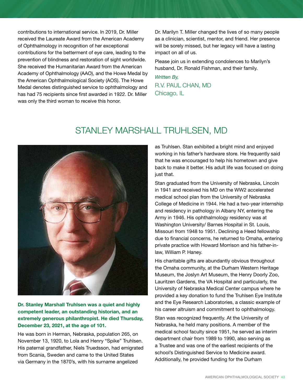contributions to international service. In 2019, Dr. Miller received the Laureate Award from the American Academy of Ophthalmology in recognition of her exceptional contributions for the betterment of eye care, leading to the prevention of blindness and restoration of sight worldwide. She received the Humanitarian Award from the American Academy of Ophthalmology (AAO), and the Howe Medal by the American Ophthalmological Society (AOS). The Howe Medal denotes distinguished service to ophthalmology and has had 75 recipients since first awarded in 1922. Dr. Miller was only the third woman to receive this honor.

Dr. Marilyn T. Miller changed the lives of so many people as a clinician, scientist, mentor, and friend. Her presence will be sorely missed, but her legacy will have a lasting impact on all of us.

Please join us in extending condolences to Marilyn's husband, Dr. Ronald Fishman, and their family.

*Written By,* R.V. PAUL CHAN, MD Chicago, IL

### STANLEY MARSHALL TRUHLSEN, MD



Dr. Stanley Marshall Truhlsen was a quiet and highly competent leader, an outstanding historian, and an extremely generous philanthropist. He died Thursday, December 23, 2021, at the age of 101.

He was born in Herman, Nebraska, population 265, on November 13, 1920, to Lola and Henry "Spike" Truhlsen. His paternal grandfather, Niels Truedsson, had emigrated from Scania, Sweden and came to the United States via Germany in the 1870's, with his surname angelized

as Truhlsen. Stan exhibited a bright mind and enjoyed working in his father's hardware store. He frequently said that he was encouraged to help his hometown and give back to make it better. His adult life was focused on doing just that.

Stan graduated from the University of Nebraska, Lincoln in 1941 and received his MD on the WW2 accelerated medical school plan from the University of Nebraska College of Medicine in 1944. He had a two-year internship and residency in pathology in Albany NY, entering the Army in 1946. His ophthalmology residency was at Washington University/ Barnes Hospital in St. Louis, Missouri from 1948 to 1951. Declining a Heed fellowship due to financial concerns, he returned to Omaha, entering private practice with Howard Morrison and his father-inlaw, William P. Haney.

His charitable gifts are abundantly obvious throughout the Omaha community, at the Durham Western Heritage Museum, the Joslyn Art Museum, the Henry Doorly Zoo, Lauritzen Gardens, the VA Hospital and particularly, the University of Nebraska Medical Center campus where he provided a key donation to fund the Truhlsen Eye Institute and the Eye Research Laboratories, a classic example of his career altruism and commitment to ophthalmology.

Stan was recognized frequently. At the University of Nebraska, he held many positions. A member of the medical school faculty since 1951, he served as interim department chair from 1989 to 1990, also serving as a Trustee and was one of the earliest recipients of the school's Distinguished Service to Medicine award. Additionally, he provided funding for the Durham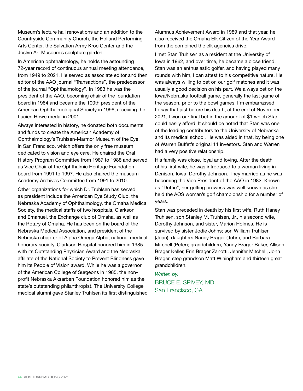Museum's lecture hall renovations and an addition to the Countryside Community Church, the Holland Performing Arts Center, the Salvation Army Kroc Center and the Joslyn Art Museum's sculpture garden.

In American ophthalmology, he holds the astounding 72-year record of continuous annual meeting attendance, from 1949 to 2021. He served as associate editor and then editor of the AAO journal "Transactions", the predecessor of the journal "Ophthalmology". In 1983 he was the president of the AAO, becoming chair of the foundation board in 1984 and became the 100th president of the American Ophthalmological Society in 1996, receiving the Lucien Howe medal in 2001.

Always interested in history, he donated both documents and funds to create the American Academy of Ophthalmology's Truhlsen-Marmor Museum of the Eye, in San Francisco, which offers the only free museum dedicated to vision and eye care. He chaired the Oral History Program Committee from 1987 to 1988 and served as Vice Chair of the Ophthalmic Heritage Foundation board from 1991 to 1997. He also chaired the museum Academy Archives Committee from 1991 to 2010.

Other organizations for which Dr. Truhlsen has served as president include the American Eye Study Club, the Nebraska Academy of Ophthalmology, the Omaha Medical Society, the medical staffs of two hospitals, Clarkson and Emanuel, the Exchange club of Omaha, as well as the Rotary of Omaha. He has been on the board of the Nebraska Medical Association, and president of the Nebraska chapter of Alpha Omega Alpha, national medical honorary society. Clarkson Hospital honored him in 1985 with its Outstanding Physician Award and the Nebraska affiliate of the National Society to Prevent Blindness gave him its People of Vision award. While he was a governor of the American College of Surgeons in 1985, the nonprofit Nebraska Aksarben Foundation honored him as the state's outstanding philanthropist. The University College medical alumni gave Stanley Truhlsen its first distinguished Alumnus Achievement Award in 1989 and that year, he also received the Omaha Elk Citizen of the Year Award from the combined the elk agencies drive.

I met Stan Truhlsen as a resident at the University of Iowa in 1962, and over time, he became a close friend. Stan was an enthusiastic golfer, and having played many rounds with him, I can attest to his competitive nature. He was always willing to bet on our golf matches and it was usually a good decision on his part. We always bet on the Iowa/Nebraska football game, generally the last game of the season, prior to the bowl games. I'm embarrassed to say that just before his death, at the end of November 2021, I won our final bet in the amount of \$1 which Stan could easily afford. It should be noted that Stan was one of the leading contributors to the University of Nebraska and its medical school. He was aided in that, by being one of Warren Buffet's original 11 investors. Stan and Warren had a very positive relationship.

His family was close, loyal and loving. After the death of his first wife, he was introduced to a woman living in Denison, Iowa, Dorothy Johnson. They married as he was becoming the Vice President of the AAO in 1982. Known as "Dottie", her golfing prowess was well known as she held the AOS woman's golf championship for a number of years.

Stan was preceded in death by his first wife, Ruth Haney Truhlsen, son Stanley M. Truhlsen, Jr., his second wife, Dorothy Johnson, and sister, Marion Holmes. He is survived by sister Jodie Johns; son William Truhlsen (Joan); daughters Nancy Brager (John), and Barbara Mitchell (Peter); grandchildren, Yancy Brager Baker, Allison Brager Keller, Erin Brager Zanotti, Jennifer Mitchell, John Brager, step grandson Matt Winingham and thirteen great grandchildren.

*Written by,* BRUCE E. SPIVEY, MD San Francisco, CA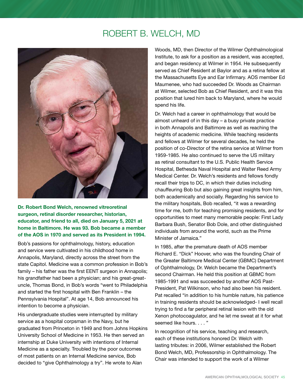### ROBERT B. WELCH, MD



Dr. Robert Bond Welch, renowned vitreoretinal surgeon, retinal disorder researcher, historian, educator, and friend to all, died on January 5, 2021 at home in Baltimore. He was 93. Bob became a member of the AOS in 1970 and served as its President in 1994.

Bob's passions for ophthalmology, history, education and service were cultivated in his childhood home in Annapolis, Maryland, directly across the street from the state Capitol. Medicine was a common profession in Bob's family – his father was the first EENT surgeon in Annapolis; his grandfather had been a physician; and his great-greatuncle, Thomas Bond, in Bob's words "went to Philadelphia and started the first hospital with Ben Franklin – the Pennsylvania Hospital". At age 14, Bob announced his intention to become a physician.

His undergraduate studies were interrupted by military service as a hospital corpsman in the Navy, but he graduated from Princeton in 1949 and from Johns Hopkins University School of Medicine in 1953. He then served an internship at Duke University with intentions of Internal Medicine as a specialty. Troubled by the poor outcomes of most patients on an Internal Medicine service, Bob decided to "give Ophthalmology a try". He wrote to Alan

Woods, MD, then Director of the Wilmer Ophthalmological Institute, to ask for a position as a resident, was accepted, and began residency at Wilmer in 1954. He subsequently served as Chief Resident at Baylor and as a retina fellow at the Massachusetts Eye and Ear Infirmary. AOS member Ed Maumenee, who had succeeded Dr. Woods as Chairman at Wilmer, selected Bob as Chief Resident, and it was this position that lured him back to Maryland, where he would spend his life.

Dr. Welch had a career in ophthalmology that would be almost unheard of in this day – a busy private practice in both Annapolis and Baltimore as well as reaching the heights of academic medicine. While teaching residents and fellows at Wilmer for several decades, he held the position of co-Director of the retina service at Wilmer from 1959-1985. He also continued to serve the US military as retinal consultant to the U.S. Public Health Service Hospital, Bethesda Naval Hospital and Walter Reed Army Medical Center. Dr. Welch's residents and fellows fondly recall their trips to DC, in which their duties including chauffeuring Bob but also gaining great insights from him, both academically and socially. Regarding his service to the military hospitals, Bob recalled, "it was a rewarding time for me, both for teaching promising residents, and for opportunities to meet many memorable people: First Lady Barbara Bush, Senator Bob Dole, and other distinguished individuals from around the world, such as the Prime Minister of Jamaica."

In 1985, after the premature death of AOS member Richard E. "Dick" Hoover, who was the founding Chair of the Greater Baltimore Medical Center (GBMC) Department of Ophthalmology, Dr. Welch became the Department's second Chairman. He held this position at GBMC from 1985-1991 and was succeeded by another AOS Past-President, Pat Wilkinson, who had also been his resident. Pat recalled "in addition to his humble nature, his patience in training residents should be acknowledged- I well recall trying to find a far peripheral retinal lesion with the old Xenon photocoagulator, and he let me sweat at it for what seemed like hours. . . . "

In recognition of his service, teaching and research, each of these institutions honored Dr. Welch with lasting tributes: in 2006, Wilmer established the Robert Bond Welch, MD, Professorship in Ophthalmology. The Chair was intended to support the work of a Wilmer